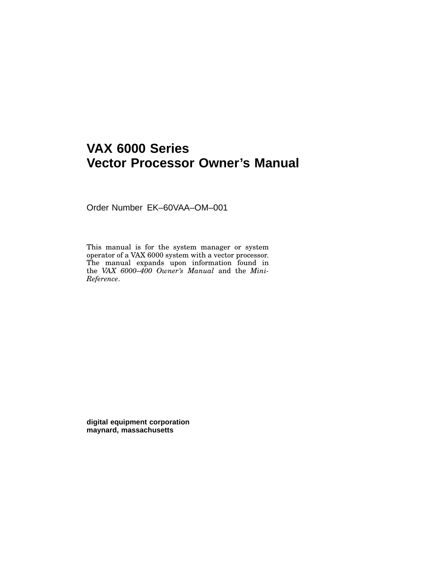## **VAX 6000 Series Vector Processor Owner's Manual**

Order Number EK–60VAA–OM–001

This manual is for the system manager or system operator of a VAX 6000 system with a vector processor. The manual expands upon information found in the *VAX 6000–400 Owner's Manual* and the *Mini-Reference*.

**digital equipment corporation maynard, massachusetts**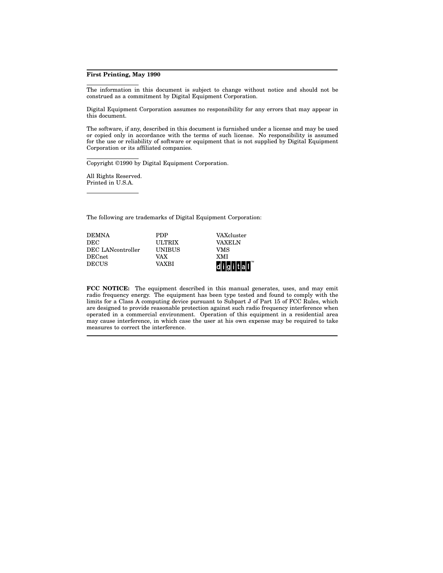#### **First Printing, May 1990**

The information in this document is subject to change without notice and should not be construed as a commitment by Digital Equipment Corporation.

Digital Equipment Corporation assumes no responsibility for any errors that may appear in this document.

The software, if any, described in this document is furnished under a license and may be used or copied only in accordance with the terms of such license. No responsibility is assumed for the use or reliability of software or equipment that is not supplied by Digital Equipment Corporation or its affiliated companies.

Copyright ©1990 by Digital Equipment Corporation.

All Rights Reserved. Printed in U.S.A.

The following are trademarks of Digital Equipment Corporation:

| <b>DEMNA</b>      | <b>PDP</b>    | VAXcluster           |
|-------------------|---------------|----------------------|
| DEC               | <b>ULTRIX</b> | <b>VAXELN</b>        |
| DEC LANcontroller | <b>UNIBUS</b> | VMS                  |
| DECnet            | VAX           | <b>XMI</b>           |
| <b>DECUS</b>      | VAXRI         | digital <sup>"</sup> |

**FCC NOTICE:** The equipment described in this manual generates, uses, and may emit radio frequency energy. The equipment has been type tested and found to comply with the limits for a Class A computing device pursuant to Subpart J of Part 15 of FCC Rules, which are designed to provide reasonable protection against such radio frequency interference when operated in a commercial environment. Operation of this equipment in a residential area may cause interference, in which case the user at his own expense may be required to take measures to correct the interference.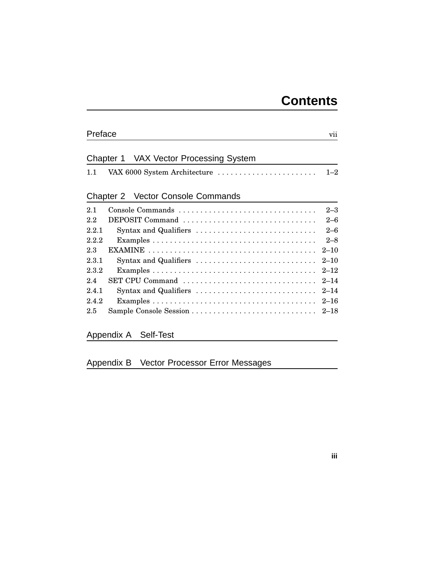# **Contents**

**iii**

| Preface<br>vii |                                                                               |          |
|----------------|-------------------------------------------------------------------------------|----------|
|                | Chapter 1 VAX Vector Processing System                                        |          |
| 1.1            |                                                                               |          |
|                | Chapter 2 Vector Console Commands                                             |          |
| 2.1            | Console Commands                                                              | $2 - 3$  |
| 2.2            | DEPOSIT Command                                                               | $2 - 6$  |
| 2.2.1          | Syntax and Qualifiers                                                         | $2 - 6$  |
| 2.2.2          |                                                                               | $2 - 8$  |
| 2.3            |                                                                               | $2 - 10$ |
| 2.3.1          | Syntax and Qualifiers $\dots \dots \dots \dots \dots \dots \dots \dots \dots$ | $2 - 10$ |
| 2.3.2          |                                                                               | $2 - 12$ |
| 2.4            | SET CPU Command                                                               | $2 - 14$ |
| 2.4.1          | Syntax and Qualifiers                                                         | $2 - 14$ |
| 2.4.2          |                                                                               | $2 - 16$ |
| 2.5            |                                                                               |          |

Appendix A Self-Test

Appendix B Vector Processor Error Messages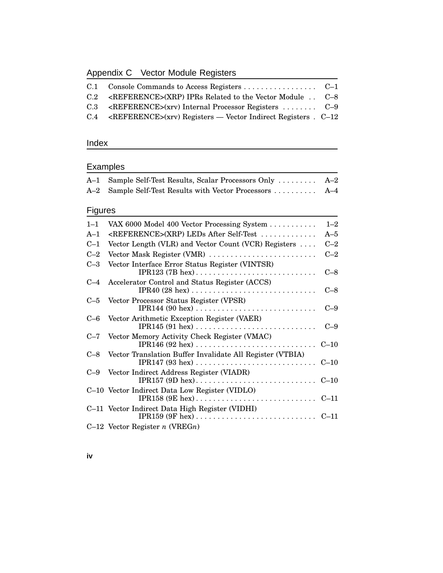## Appendix C Vector Module Registers

| C.2 <reference>(XRP) IPRs Related to the Vector Module . C-8</reference>                                          |
|-------------------------------------------------------------------------------------------------------------------|
| $C.3 \quad \text{REFERENCE} > (xrv)$ Internal Processor Registers $C=9$                                           |
| $C.4 \quad \text{REFERENCE} > (xrv) \text{ Registers} \quad \text{Vector Indirect Registers} \quad \text{C} - 12$ |
|                                                                                                                   |

## Index

## Examples

| $A-1$          | Sample Self-Test Results, Scalar Processors Only          | $A-2$   |
|----------------|-----------------------------------------------------------|---------|
| $A-2$          | Sample Self-Test Results with Vector Processors           | $A-4$   |
| <b>Figures</b> |                                                           |         |
| $1 - 1$        | VAX 6000 Model 400 Vector Processing System               | $1 - 2$ |
| $A-1$          | <reference>(XRP) LEDs After Self-Test </reference>        | $A-5$   |
| $C-1$          | Vector Length (VLR) and Vector Count (VCR) Registers      | $C-2$   |
| $C-2$          | Vector Mask Register (VMR)                                | $C-2$   |
| $C-3$          | Vector Interface Error Status Register (VINTSR)           | $C-8$   |
| $C-4$          | Accelerator Control and Status Register (ACCS)            | $C-8$   |
| $C-5$          | Vector Processor Status Register (VPSR)                   | $C-9$   |
| $C=6$          | Vector Arithmetic Exception Register (VAER)               | $C-9$   |
| $C-7$          | Vector Memory Activity Check Register (VMAC)              |         |
| $C-8$          | Vector Translation Buffer Invalidate All Register (VTBIA) |         |
| $C-9$          | Vector Indirect Address Register (VIADR)                  |         |
|                | C-10 Vector Indirect Data Low Register (VIDLO)            |         |
|                | C-11 Vector Indirect Data High Register (VIDHI)           |         |
|                | $C-12$ Vector Register <i>n</i> (VREG <i>n</i> )          |         |

**iv**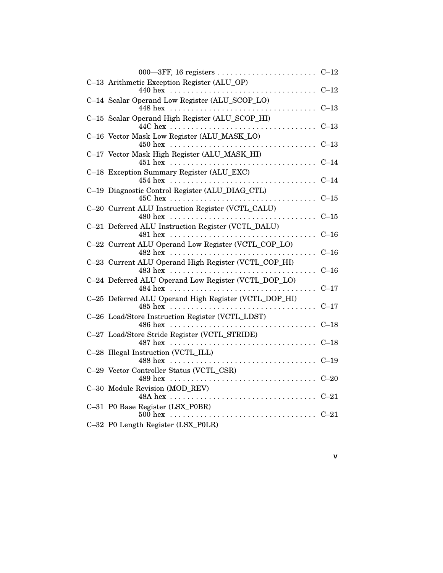| C-13 Arithmetic Exception Register (ALU_OP)                                                                                  | $C-12$ |
|------------------------------------------------------------------------------------------------------------------------------|--------|
| C-14 Scalar Operand Low Register (ALU_SCOP_LO)                                                                               | $C-13$ |
| C-15 Scalar Operand High Register (ALU_SCOP_HI)                                                                              | $C-13$ |
| C-16 Vector Mask Low Register (ALU_MASK_LO)                                                                                  | $C-13$ |
| C-17 Vector Mask High Register (ALU_MASK_HI)                                                                                 | $C-14$ |
| C-18 Exception Summary Register (ALU_EXC)<br>454 hex $\ldots \ldots \ldots \ldots \ldots \ldots \ldots \ldots \ldots \ldots$ | $C-14$ |
| C-19 Diagnostic Control Register (ALU_DIAG_CTL)                                                                              | $C-15$ |
| C-20 Current ALU Instruction Register (VCTL_CALU)                                                                            | $C-15$ |
| C-21 Deferred ALU Instruction Register (VCTL_DALU)                                                                           | $C-16$ |
| C-22 Current ALU Operand Low Register (VCTL_COP_LO)                                                                          | $C-16$ |
| C-23 Current ALU Operand High Register (VCTL_COP_HI)                                                                         | $C-16$ |
| C-24 Deferred ALU Operand Low Register (VCTL_DOP_LO)                                                                         | $C-17$ |
| C-25 Deferred ALU Operand High Register (VCTL_DOP_HI)                                                                        | $C-17$ |
| C-26 Load/Store Instruction Register (VCTL_LDST)                                                                             | $C-18$ |
| C-27 Load/Store Stride Register (VCTL_STRIDE)                                                                                | $C-18$ |
|                                                                                                                              | $C-19$ |
| C-29 Vector Controller Status (VCTL_CSR)                                                                                     | $C-20$ |
| C-30 Module Revision (MOD REV)                                                                                               | $C-21$ |
| C-31 P0 Base Register (LSX_P0BR)                                                                                             | $C-21$ |
| C-32 P0 Length Register (LSX_P0LR)                                                                                           |        |

**v**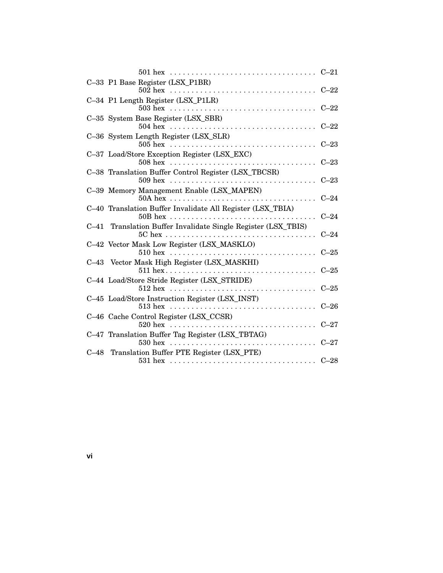|  |                                                                                                                                  | $C-21$ |
|--|----------------------------------------------------------------------------------------------------------------------------------|--------|
|  | C-33 P1 Base Register (LSX_P1BR)                                                                                                 |        |
|  | C-34 P1 Length Register (LSX_P1LR)                                                                                               | $C-22$ |
|  | C-35 System Base Register (LSX_SBR)<br>$504 \text{ hex} \dots \dots \dots \dots \dots \dots \dots \dots \dots \dots \dots \dots$ | $C-22$ |
|  | C-36 System Length Register (LSX_SLR)<br>$505$ hex                                                                               | $C-23$ |
|  | C-37 Load/Store Exception Register (LSX_EXC)                                                                                     | $C-23$ |
|  | C-38 Translation Buffer Control Register (LSX_TBCSR)                                                                             | $C-23$ |
|  | C-39 Memory Management Enable (LSX_MAPEN)                                                                                        | $C-24$ |
|  | C-40 Translation Buffer Invalidate All Register (LSX_TBIA)                                                                       | $C-24$ |
|  | C-41 Translation Buffer Invalidate Single Register (LSX_TBIS)                                                                    | $C-24$ |
|  | C-42 Vector Mask Low Register (LSX_MASKLO)<br>$510 \text{ hex}$                                                                  | $C-25$ |
|  | C-43 Vector Mask High Register (LSX_MASKHI)                                                                                      | $C-25$ |
|  | C-44 Load/Store Stride Register (LSX_STRIDE)<br>$512 \text{ hex}$                                                                | $C-25$ |
|  | C-45 Load/Store Instruction Register (LSX_INST)<br>$513 \text{ hex}$                                                             | $C-26$ |
|  | C-46 Cache Control Register (LSX_CCSR)                                                                                           | $C-27$ |
|  | C-47 Translation Buffer Tag Register (LSX_TBTAG)<br>$530$ hex<br>.                                                               | $C-27$ |
|  | C-48 Translation Buffer PTE Register (LSX_PTE)                                                                                   | $C-28$ |
|  |                                                                                                                                  |        |

**vi**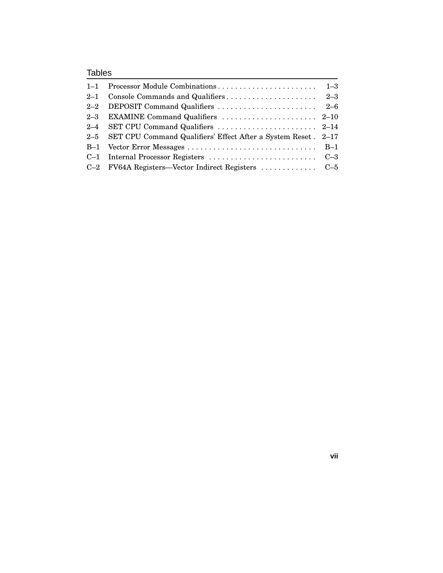## Tables

| 2-5 SET CPU Command Qualifiers' Effect After a System Reset . 2-17 |  |
|--------------------------------------------------------------------|--|
|                                                                    |  |
|                                                                    |  |
| C-2 FV64A Registers—Vector Indirect Registers  C-5                 |  |

**vii**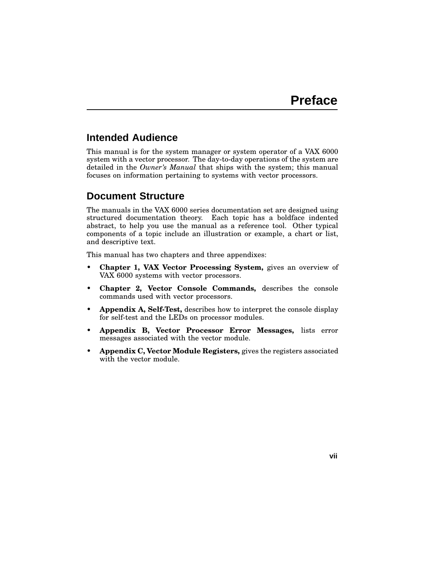## **Intended Audience**

This manual is for the system manager or system operator of a VAX 6000 system with a vector processor. The day-to-day operations of the system are detailed in the *Owner's Manual* that ships with the system; this manual focuses on information pertaining to systems with vector processors.

## **Document Structure**

The manuals in the VAX 6000 series documentation set are designed using structured documentation theory. Each topic has a boldface indented abstract, to help you use the manual as a reference tool. Other typical components of a topic include an illustration or example, a chart or list, and descriptive text.

This manual has two chapters and three appendixes:

- **Chapter 1, VAX Vector Processing System,** gives an overview of VAX 6000 systems with vector processors.
- **Chapter 2, Vector Console Commands,** describes the console commands used with vector processors.
- **Appendix A, Self-Test,** describes how to interpret the console display for self-test and the LEDs on processor modules.
- **Appendix B, Vector Processor Error Messages,** lists error messages associated with the vector module.
- **Appendix C, Vector Module Registers,** gives the registers associated with the vector module.

**vii**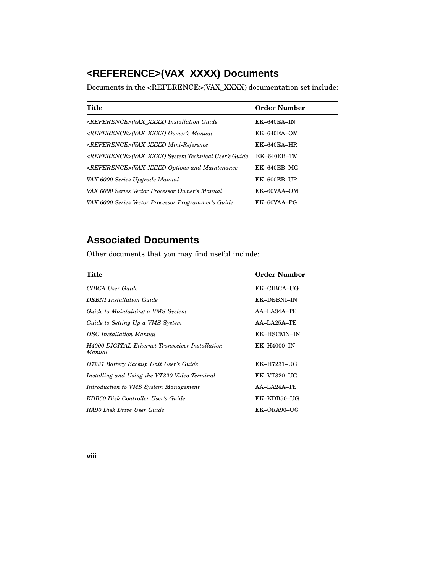## **<REFERENCE>(VAX\_XXXX) Documents**

Documents in the <REFERENCE>(VAX\_XXXX) documentation set include:

| Title                                                           | <b>Order Number</b> |
|-----------------------------------------------------------------|---------------------|
| <reference>(VAX XXXX) Installation Guide</reference>            | $EK-640EA-IN$       |
| <reference>(VAX XXXX) Owner's Manual</reference>                | $EK-640EA-OM$       |
| <reference>(VAX XXXX) Mini-Reference</reference>                | $EK-640EA-HR$       |
| <reference>(VAX XXXX) System Technical User's Guide</reference> | $EK-640EB-TM$       |
| <reference>(VAX XXXX) Options and Maintenance</reference>       | EK-640EB-MG         |
| VAX 6000 Series Upgrade Manual                                  | EK-600EB-UP         |
| VAX 6000 Series Vector Processor Owner's Manual                 | EK-60VAA-OM         |
| VAX 6000 Series Vector Processor Programmer's Guide             | EK-60VAA-PG         |

## **Associated Documents**

Other documents that you may find useful include:

| Title                                                            | <b>Order Number</b> |
|------------------------------------------------------------------|---------------------|
| CIBCA User Guide                                                 | EK-CIBCA-UG         |
| <b>DEBNI</b> Installation Guide                                  | EK-DEBNI-IN         |
| Guide to Maintaining a VMS System                                | $AA-LA34A-TE$       |
| Guide to Setting Up a VMS System                                 | $AA-LA25A-TE$       |
| <b>HSC</b> Installation Manual                                   | EK-HSCMN-IN         |
| <b>H4000 DIGITAL Ethernet Transceiver Installation</b><br>Manual | <b>EK-H4000-IN</b>  |
| H7231 Battery Backup Unit User's Guide                           | EK-H7231-UG         |
| Installing and Using the VT320 Video Terminal                    | EK-VT320-UG         |
| Introduction to VMS System Management                            | $AA-LA24A-TE$       |
| KDB50 Disk Controller User's Guide                               | EK-KDB50-UG         |
| RA90 Disk Drive User Guide                                       | EK-ORA90-UG         |

**viii**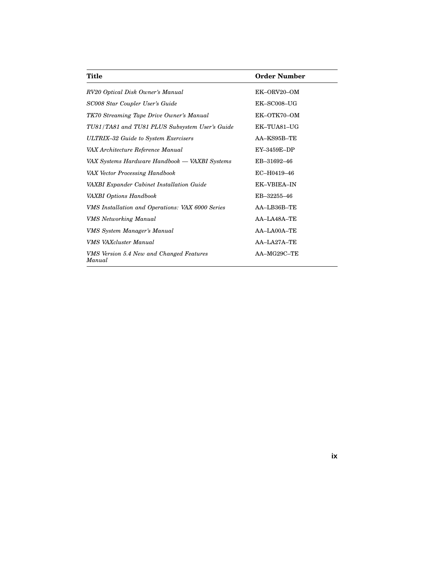| Title                                              | <b>Order Number</b> |
|----------------------------------------------------|---------------------|
| RV20 Optical Disk Owner's Manual                   | EK-ORV20-OM         |
| SC008 Star Coupler User's Guide                    | $EK$ -SC008-UG      |
| TK70 Streaming Tape Drive Owner's Manual           | EK-OTK70-OM         |
| TU81/TA81 and TU81 PLUS Subsystem User's Guide     | EK-TUA81-UG         |
| ULTRIX-32 Guide to System Exercisers               | AA-KS95B-TE         |
| VAX Architecture Reference Manual                  | EY-3459E-DP         |
| VAX Systems Hardware Handbook — VAXBI Systems      | EB-31692-46         |
| VAX Vector Processing Handbook                     | EC-H0419-46         |
| VAXBI Expander Cabinet Installation Guide          | <b>EK-VBIEA-IN</b>  |
| VAXBI Options Handbook                             | EB-32255-46         |
| VMS Installation and Operations: VAX 6000 Series   | AA-LB36B-TE         |
| <b>VMS</b> Networking Manual                       | AA-LA48A-TE         |
| VMS System Manager's Manual                        | AA-LA00A-TE         |
| <b>VMS VAXcluster Manual</b>                       | AA-LA27A-TE         |
| VMS Version 5.4 New and Changed Features<br>Manual | AA-MG29C-TE         |

**ix**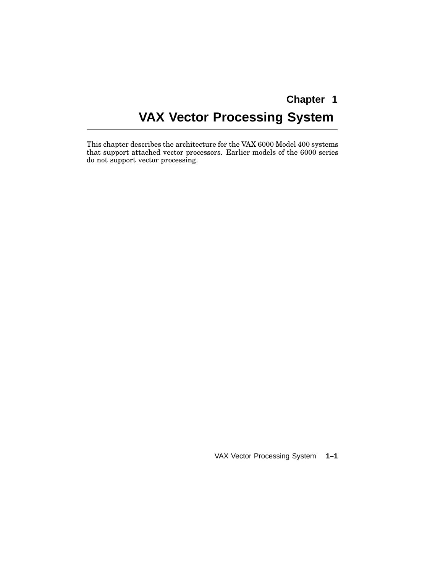# **Chapter 1 VAX Vector Processing System**

This chapter describes the architecture for the VAX 6000 Model 400 systems that support attached vector processors. Earlier models of the 6000 series do not support vector processing.

VAX Vector Processing System **1–1**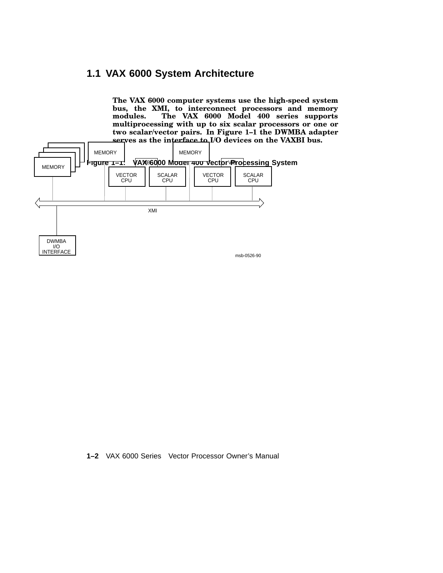## **1.1 VAX 6000 System Architecture**

**The VAX 6000 computer systems use the high-speed system bus, the XMI, to interconnect processors and memory modules. The VAX 6000 Model 400 series supports multiprocessing with up to six scalar processors or one or two scalar/vector pairs. In Figure 1–1 the DWMBA adapter serves as the interface to I/O devices on the VAXBI bus.**



**1–2** VAX 6000 Series Vector Processor Owner's Manual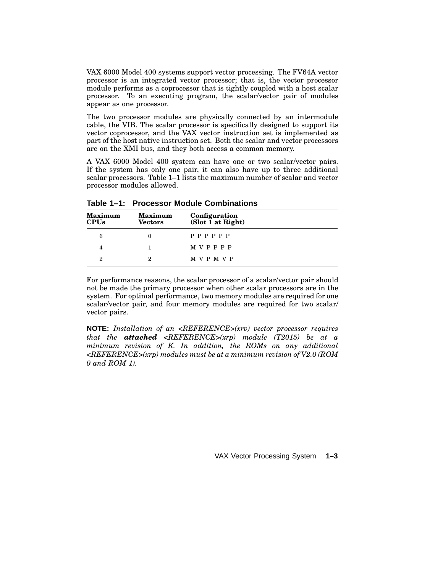VAX 6000 Model 400 systems support vector processing. The FV64A vector processor is an integrated vector processor; that is, the vector processor module performs as a coprocessor that is tightly coupled with a host scalar processor. To an executing program, the scalar/vector pair of modules appear as one processor.

The two processor modules are physically connected by an intermodule cable, the VIB. The scalar processor is specifically designed to support its vector coprocessor, and the VAX vector instruction set is implemented as part of the host native instruction set. Both the scalar and vector processors are on the XMI bus, and they both access a common memory.

A VAX 6000 Model 400 system can have one or two scalar/vector pairs. If the system has only one pair, it can also have up to three additional scalar processors. Table 1–1 lists the maximum number of scalar and vector processor modules allowed.

| <b>Maximum</b><br><b>CPUs</b> | <b>Maximum</b><br><b>Vectors</b> | Configuration<br>(Slot $\bar{1}$ at Right) |
|-------------------------------|----------------------------------|--------------------------------------------|
| 6                             |                                  | P P P P P P                                |
| 4                             |                                  | <b>MVPPPP</b>                              |
| $\overline{2}$                | 2                                | M V P M V P                                |

**Table 1–1: Processor Module Combinations**

For performance reasons, the scalar processor of a scalar/vector pair should not be made the primary processor when other scalar processors are in the system. For optimal performance, two memory modules are required for one scalar/vector pair, and four memory modules are required for two scalar/ vector pairs.

**NOTE:** *Installation of an <REFERENCE>(xrv) vector processor requires that the attached <REFERENCE>(xrp) module (T2015) be at a minimum revision of K. In addition, the ROMs on any additional <REFERENCE>(xrp) modules must be at a minimum revision of V2.0 (ROM 0 and ROM 1).*

VAX Vector Processing System **1–3**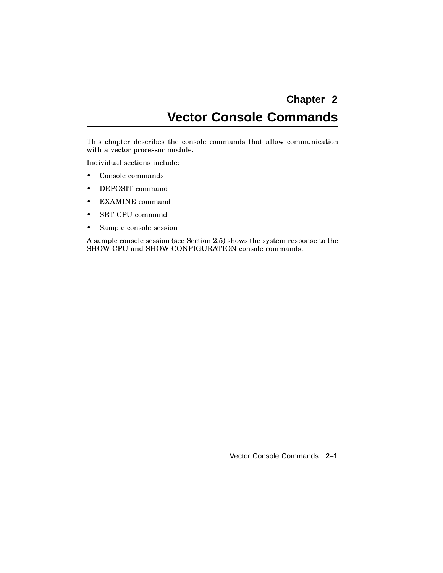# **Chapter 2 Vector Console Commands**

This chapter describes the console commands that allow communication with a vector processor module.

Individual sections include:

- Console commands
- DEPOSIT command
- EXAMINE command
- SET CPU command
- Sample console session

A sample console session (see Section 2.5) shows the system response to the SHOW CPU and SHOW CONFIGURATION console commands.

Vector Console Commands **2–1**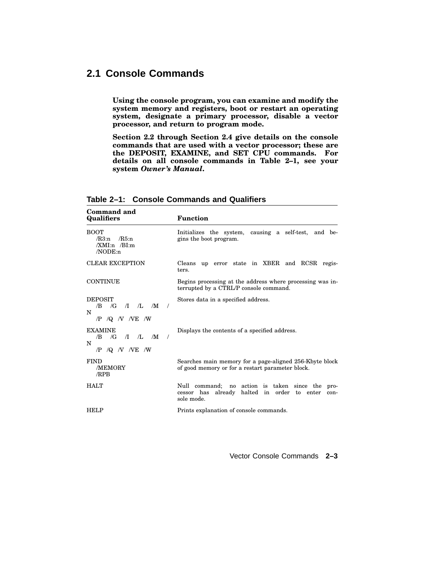## **2.1 Console Commands**

**Using the console program, you can examine and modify the system memory and registers, boot or restart an operating system, designate a primary processor, disable a vector processor, and return to program mode.**

**Section 2.2 through Section 2.4 give details on the console commands that are used with a vector processor; these are the DEPOSIT, EXAMINE, and SET CPU commands. For details on all console commands in Table 2–1, see your system** *Owner's Manual***.**

| Command and<br><b>Qualifiers</b>                                                                       | <b>Function</b>                                                                                                               |
|--------------------------------------------------------------------------------------------------------|-------------------------------------------------------------------------------------------------------------------------------|
| <b>BOOT</b><br>/R3:n<br>$/R5:$ n<br>$/XMI:n$ /BI:m<br>NODE:n                                           | Initializes the system, causing a self-test, and be-<br>gins the boot program.                                                |
| <b>CLEAR EXCEPTION</b>                                                                                 | up error state in XBER and RCSR regis-<br>Cleans<br>ters.                                                                     |
| <b>CONTINUE</b>                                                                                        | Begins processing at the address where processing was in-<br>terrupted by a CTRL/P console command.                           |
| <b>DEPOSIT</b><br>$\sqrt{G}$<br>$\pi$ $\pi$ $\mathbf{M}$<br>/B<br>$\prime$<br>N<br>$/P$ /Q $N$ NE $/W$ | Stores data in a specified address.                                                                                           |
| <b>EXAMINE</b><br>$/G$ $\pi$ $L$ $/M$<br>/B<br>$\prime$<br>N<br>$/P$ /Q $N$ /VE /W                     | Displays the contents of a specified address.                                                                                 |
| <b>FIND</b><br>/MEMORY<br>/RPB                                                                         | Searches main memory for a page-aligned 256-Kbyte block<br>of good memory or for a restart parameter block.                   |
| <b>HALT</b>                                                                                            | Null command;<br>no action is taken since the<br>pro-<br>halted in order to enter<br>cessor has already<br>con-<br>sole mode. |
| <b>HELP</b>                                                                                            | Prints explanation of console commands.                                                                                       |

**Table 2–1: Console Commands and Qualifiers**

Vector Console Commands **2–3**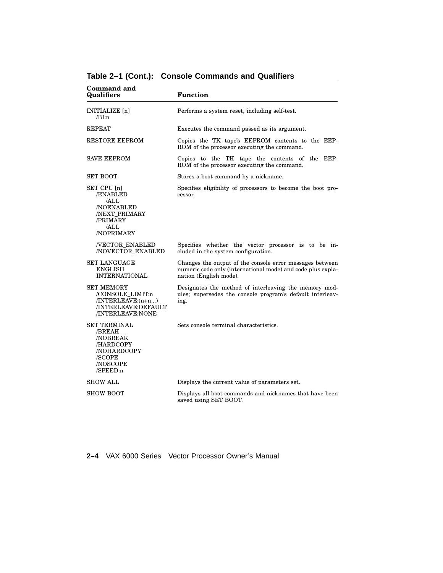| Command and<br><b>Qualifiers</b>                                                                                       | <b>Function</b>                                                                                                                                   |
|------------------------------------------------------------------------------------------------------------------------|---------------------------------------------------------------------------------------------------------------------------------------------------|
| INITIALIZE [n]<br>/BI:n                                                                                                | Performs a system reset, including self-test.                                                                                                     |
| <b>REPEAT</b>                                                                                                          | Executes the command passed as its argument.                                                                                                      |
| <b>RESTORE EEPROM</b>                                                                                                  | Copies the TK tape's EEPROM contents to the EEP-<br>ROM of the processor executing the command.                                                   |
| <b>SAVE EEPROM</b>                                                                                                     | Copies to the TK tape the contents of the EEP-<br>ROM of the processor executing the command.                                                     |
| <b>SET BOOT</b>                                                                                                        | Stores a boot command by a nickname.                                                                                                              |
| SET CPU [n]<br>/ENABLED<br>/ALL<br><b>NOENABLED</b><br>/NEXT_PRIMARY<br>/PRIMARY<br>/ALL<br>/NOPRIMARY                 | Specifies eligibility of processors to become the boot pro-<br>cessor.                                                                            |
| /VECTOR_ENABLED<br>/NOVECTOR ENABLED                                                                                   | Specifies whether the vector processor is to be in-<br>cluded in the system configuration.                                                        |
| <b>SET LANGUAGE</b><br><b>ENGLISH</b><br><b>INTERNATIONAL</b>                                                          | Changes the output of the console error messages between<br>numeric code only (international mode) and code plus expla-<br>nation (English mode). |
| <b>SET MEMORY</b><br>/CONSOLE LIMIT:n<br>/INTERLEAVE:(n+n)<br>/INTERLEAVE:DEFAULT<br>/INTERLEAVE:NONE                  | Designates the method of interleaving the memory mod-<br>ules; supersedes the console program's default interleav-<br>ing.                        |
| <b>SET TERMINAL</b><br>/BREAK<br><b>NOBREAK</b><br>/HARDCOPY<br>/NOHARDCOPY<br>/SCOPE<br><b>NOSCOPE</b><br>$/$ SPEED:n | Sets console terminal characteristics.                                                                                                            |
| <b>SHOW ALL</b>                                                                                                        | Displays the current value of parameters set.                                                                                                     |
| <b>SHOW BOOT</b>                                                                                                       | Displays all boot commands and nicknames that have been<br>saved using SET BOOT.                                                                  |

**Table 2–1 (Cont.): Console Commands and Qualifiers**

**2–4** VAX 6000 Series Vector Processor Owner's Manual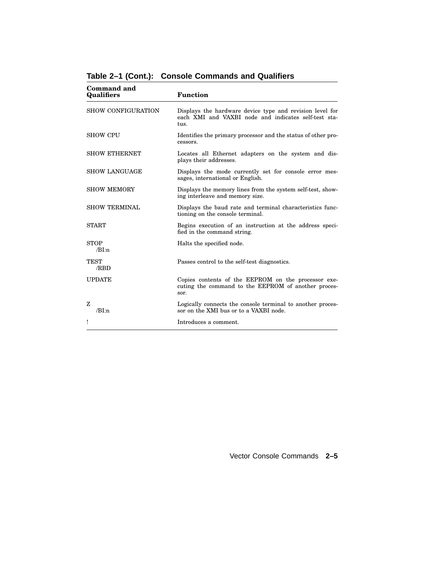| Command and<br>Qualifiers | <b>Function</b>                                                                                                          |
|---------------------------|--------------------------------------------------------------------------------------------------------------------------|
| SHOW CONFIGURATION        | Displays the hardware device type and revision level for<br>each XMI and VAXBI node and indicates self-test sta-<br>tus. |
| <b>SHOW CPU</b>           | Identifies the primary processor and the status of other pro-<br>cessors.                                                |
| <b>SHOW ETHERNET</b>      | Locates all Ethernet adapters on the system and dis-<br>plays their addresses.                                           |
| <b>SHOW LANGUAGE</b>      | Displays the mode currently set for console error mes-<br>sages, international or English.                               |
| <b>SHOW MEMORY</b>        | Displays the memory lines from the system self-test, show-<br>ing interleave and memory size.                            |
| <b>SHOW TERMINAL</b>      | Displays the baud rate and terminal characteristics func-<br>tioning on the console terminal.                            |
| <b>START</b>              | Begins execution of an instruction at the address speci-<br>fied in the command string.                                  |
| <b>STOP</b><br>/RI:n      | Halts the specified node.                                                                                                |
| <b>TEST</b><br>/RBD       | Passes control to the self-test diagnostics.                                                                             |
| <b>UPDATE</b>             | Copies contents of the EEPROM on the processor exe-<br>cuting the command to the EEPROM of another proces-<br>sor.       |
| z<br>/BI:n                | Logically connects the console terminal to another proces-<br>sor on the XMI bus or to a VAXBI node.                     |
| Ţ                         | Introduces a comment.                                                                                                    |

**Table 2–1 (Cont.): Console Commands and Qualifiers**

Vector Console Commands **2–5**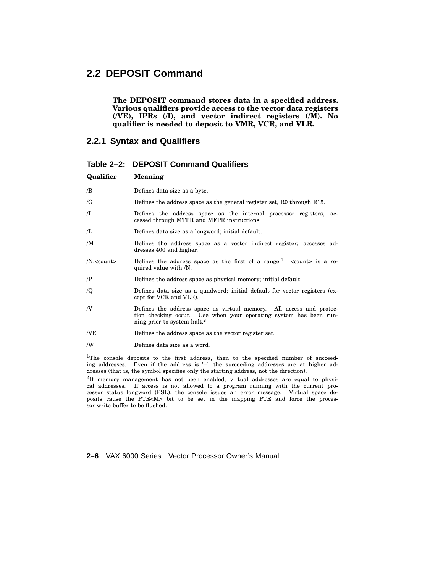## **2.2 DEPOSIT Command**

**The DEPOSIT command stores data in a specified address. Various qualifiers provide access to the vector data registers (/VE), IPRs (/I), and vector indirect registers (/M). No qualifier is needed to deposit to VMR, VCR, and VLR.**

#### **2.2.1 Syntax and Qualifiers**

| Qualifier              | Meaning                                                                                                                                                                             |
|------------------------|-------------------------------------------------------------------------------------------------------------------------------------------------------------------------------------|
| /B                     | Defines data size as a byte.                                                                                                                                                        |
| /G                     | Defines the address space as the general register set, R0 through R15.                                                                                                              |
| $\sqrt{}$              | Defines the address space as the internal processor registers, ac-<br>cessed through MTPR and MFPR instructions.                                                                    |
| $\pi$                  | Defines data size as a longword; initial default.                                                                                                                                   |
| /M                     | Defines the address space as a vector indirect register; accesses ad-<br>dresses 400 and higher.                                                                                    |
| $/N$ : <count></count> | Defines the address space as the first of a range. $\frac{1}{1}$ <count> is a re-<br/>quired value with /N.</count>                                                                 |
| $\sqrt{P}$             | Defines the address space as physical memory; initial default.                                                                                                                      |
| $\sqrt{Q}$             | Defines data size as a quadword; initial default for vector registers (ex-<br>cept for VCR and VLR).                                                                                |
| N                      | Defines the address space as virtual memory. All access and protec-<br>tion checking occur. Use when your operating system has been run-<br>ning prior to system halt. <sup>2</sup> |
| /VE                    | Defines the address space as the vector register set.                                                                                                                               |
| /W                     | Defines data size as a word.                                                                                                                                                        |

**Table 2–2: DEPOSIT Command Qualifiers**

<sup>1</sup>The console deposits to the first address, then to the specified number of succeeding addresses. Even if the address is '–', the succeeding addresses are at higher addresses (that is, the symbol specifies only the starting address, not the direction).

2 If memory management has not been enabled, virtual addresses are equal to physical addresses. If access is not allowed to a program running with the current processor status longword (PSL), the console issues an error message. Virtual space deposits cause the PTE<M> bit to be set in the mapping PTE and force the processor write buffer to be flushed.

**2–6** VAX 6000 Series Vector Processor Owner's Manual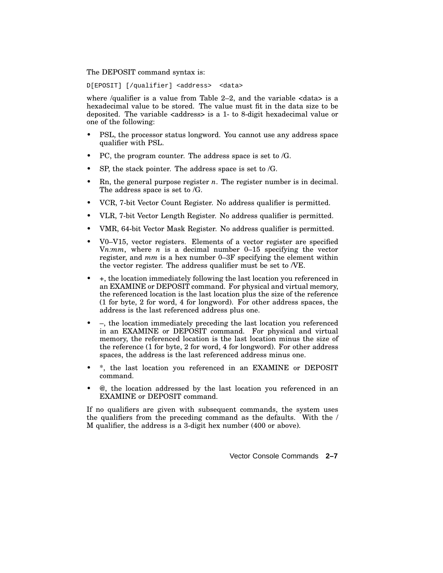The DEPOSIT command syntax is:

D[EPOSIT] [/qualifier] <address> <data>

where /qualifier is a value from Table 2-2, and the variable  $\langle data \rangle$  is a hexadecimal value to be stored. The value must fit in the data size to be deposited. The variable <address> is a 1- to 8-digit hexadecimal value or one of the following:

- PSL, the processor status longword. You cannot use any address space qualifier with PSL.
- PC, the program counter. The address space is set to /G.
- SP, the stack pointer. The address space is set to  $/G$ .
- Rn, the general purpose register *n*. The register number is in decimal. The address space is set to /G.
- VCR, 7-bit Vector Count Register. No address qualifier is permitted.
- VLR, 7-bit Vector Length Register. No address qualifier is permitted.
- VMR, 64-bit Vector Mask Register. No address qualifier is permitted.
- V0–V15, vector registers. Elements of a vector register are specified V*n:mm*, where *n* is a decimal number 0–15 specifying the vector register, and *mm* is a hex number 0–3F specifying the element within the vector register. The address qualifier must be set to /VE.
- +, the location immediately following the last location you referenced in an EXAMINE or DEPOSIT command. For physical and virtual memory, the referenced location is the last location plus the size of the reference (1 for byte, 2 for word, 4 for longword). For other address spaces, the address is the last referenced address plus one.
- –, the location immediately preceding the last location you referenced in an EXAMINE or DEPOSIT command. For physical and virtual memory, the referenced location is the last location minus the size of the reference (1 for byte, 2 for word, 4 for longword). For other address spaces, the address is the last referenced address minus one.
- \*, the last location you referenced in an EXAMINE or DEPOSIT command.
- @, the location addressed by the last location you referenced in an EXAMINE or DEPOSIT command.

If no qualifiers are given with subsequent commands, the system uses the qualifiers from the preceding command as the defaults. With the / M qualifier, the address is a 3-digit hex number (400 or above).

Vector Console Commands **2–7**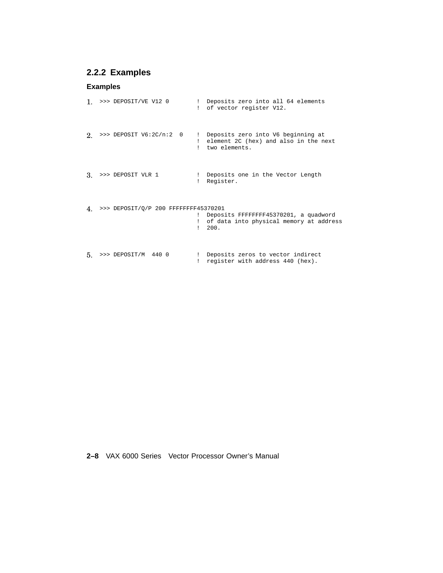## **2.2.2 Examples**

#### **Examples**

```
1. >>> DEPOSIT/VE V12 0 ! Deposits zero into all 64 elements
                            ! of vector register V12.
2. >>> DEPOSIT V6:2C/n:2 0 ! Deposits zero into V6 beginning at
                             ! element 2C (hex) and also in the next
                             ! two elements.
3. >>> DEPOSIT VLR 1 ! Deposits one in the Vector Length
                             ! Register.
4. >>> DEPOSIT/Q/P 200 FFFFFFFF45370201
                             ! Deposits FFFFFFFF45370201, a quadword
                             ! of data into physical memory at address
                             ! 200.
5. >>> DEPOSIT/M 440 0 ! Deposits zeros to vector indirect
                             ! register with address 440 (hex).
```
**2–8** VAX 6000 Series Vector Processor Owner's Manual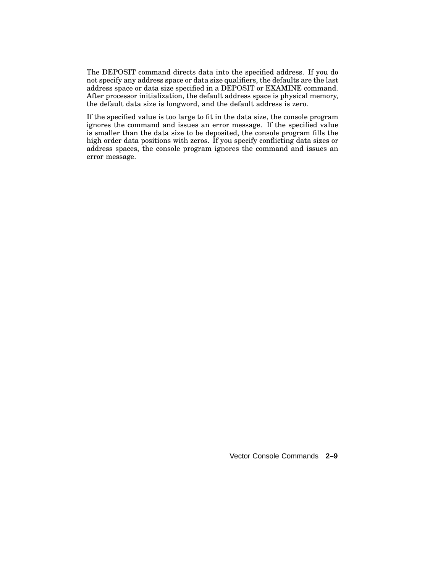The DEPOSIT command directs data into the specified address. If you do not specify any address space or data size qualifiers, the defaults are the last address space or data size specified in a DEPOSIT or EXAMINE command. After processor initialization, the default address space is physical memory, the default data size is longword, and the default address is zero.

If the specified value is too large to fit in the data size, the console program ignores the command and issues an error message. If the specified value is smaller than the data size to be deposited, the console program fills the high order data positions with zeros. If you specify conflicting data sizes or address spaces, the console program ignores the command and issues an error message.

Vector Console Commands **2–9**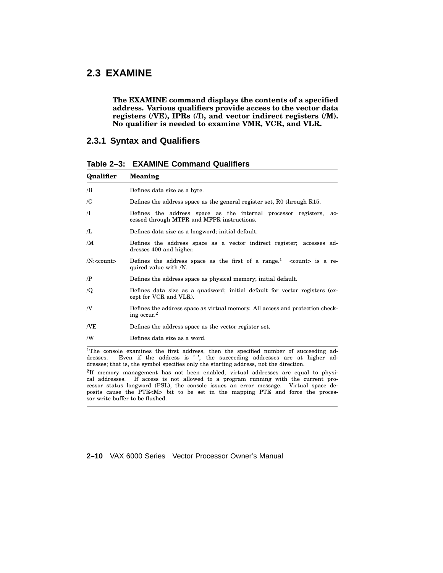## **2.3 EXAMINE**

**The EXAMINE command displays the contents of a specified address. Various qualifiers provide access to the vector data registers (/VE), IPRs (/I), and vector indirect registers (/M). No qualifier is needed to examine VMR, VCR, and VLR.**

#### **2.3.1 Syntax and Qualifiers**

**Table 2–3: EXAMINE Command Qualifiers**

| Qualifier              | <b>Meaning</b>                                                                                                                                                                   |
|------------------------|----------------------------------------------------------------------------------------------------------------------------------------------------------------------------------|
| /B                     | Defines data size as a byte.                                                                                                                                                     |
| /G                     | Defines the address space as the general register set, R0 through R15.                                                                                                           |
| $\pi$                  | Defines the address space as the internal processor registers,<br>ac-<br>cessed through MTPR and MFPR instructions.                                                              |
| Æ                      | Defines data size as a longword; initial default.                                                                                                                                |
| /M                     | Defines the address space as a vector indirect register; accesses ad-<br>dresses 400 and higher.                                                                                 |
| $/N$ : <count></count> | Defines the address space as the first of a range. <sup>1</sup> <count> is a re-<br/>quired value with /N.</count>                                                               |
| $\sqrt{P}$             | Defines the address space as physical memory; initial default.                                                                                                                   |
| $\sqrt{Q}$             | Defines data size as a quadword; initial default for vector registers (ex-<br>cept for VCR and VLR).                                                                             |
| N                      | Defines the address space as virtual memory. All access and protection check-<br>ing occur. <sup>2</sup>                                                                         |
| /VE                    | Defines the address space as the vector register set.                                                                                                                            |
| /W                     | Defines data size as a word.                                                                                                                                                     |
| dresses.               | <sup>1</sup> The console examines the first address, then the specified number of succeeding ad-<br>Even if the address is $\prime$ , the succeeding addresses are at higher ad- |

dresses; that is, the symbol specifies only the starting address, not the direction. 2 If memory management has not been enabled, virtual addresses are equal to physical addresses. If access is not allowed to a program running with the current processor status longword (PSL), the console issues an error message. Virtual space deposits cause the PTE<M> bit to be set in the mapping PTE and force the processor write buffer to be flushed.

**2–10** VAX 6000 Series Vector Processor Owner's Manual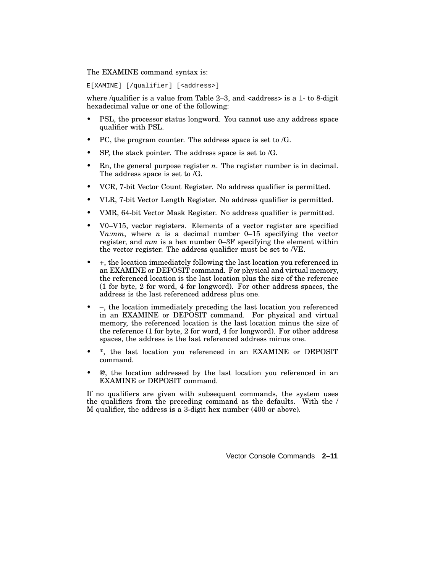The EXAMINE command syntax is:

E[XAMINE] [/qualifier] [<address>]

where /qualifier is a value from Table  $2-3$ , and  $\alpha$ ddress> is a 1- to 8-digit hexadecimal value or one of the following:

- PSL, the processor status longword. You cannot use any address space qualifier with PSL.
- PC, the program counter. The address space is set to /G.
- SP, the stack pointer. The address space is set to  $/G$ .
- Rn, the general purpose register *n*. The register number is in decimal. The address space is set to /G.
- VCR, 7-bit Vector Count Register. No address qualifier is permitted.
- VLR, 7-bit Vector Length Register. No address qualifier is permitted.
- VMR, 64-bit Vector Mask Register. No address qualifier is permitted.
- V0–V15, vector registers. Elements of a vector register are specified V*n:mm*, where *n* is a decimal number 0–15 specifying the vector register, and *mm* is a hex number 0–3F specifying the element within the vector register. The address qualifier must be set to /VE.
- +, the location immediately following the last location you referenced in an EXAMINE or DEPOSIT command. For physical and virtual memory, the referenced location is the last location plus the size of the reference (1 for byte, 2 for word, 4 for longword). For other address spaces, the address is the last referenced address plus one.
- –, the location immediately preceding the last location you referenced in an EXAMINE or DEPOSIT command. For physical and virtual memory, the referenced location is the last location minus the size of the reference (1 for byte, 2 for word, 4 for longword). For other address spaces, the address is the last referenced address minus one.
- \*, the last location you referenced in an EXAMINE or DEPOSIT command.
- @, the location addressed by the last location you referenced in an EXAMINE or DEPOSIT command.

If no qualifiers are given with subsequent commands, the system uses the qualifiers from the preceding command as the defaults. With the / M qualifier, the address is a 3-digit hex number (400 or above).

Vector Console Commands **2–11**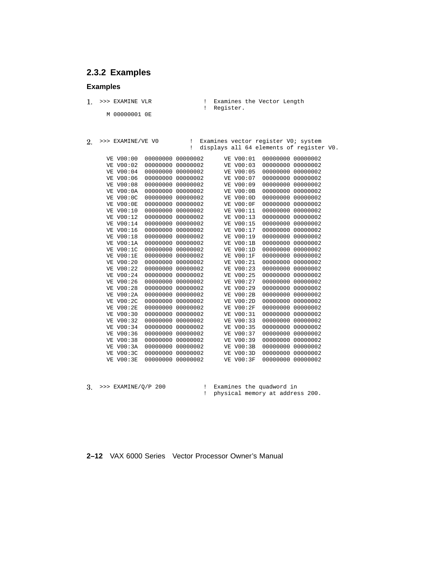## **2.3.2 Examples**

#### **Examples**

- 1. >>> EXAMINE VLR ! Examines the Vector Length ! Register.
	- M 00000001 0E

2. >>> EXAMINE/VE V0 ! Examines vector register V0; system ! displays all 64 elements of register V0.

| VE V00:00              | 00000000 00000002 |          |    | VE V00:01        |                          | 00000000 00000002 |
|------------------------|-------------------|----------|----|------------------|--------------------------|-------------------|
| VE V00:02              | 00000000          | 00000002 |    | VE V00:03        | 00000000                 | 00000002          |
| VE V00:04              | 00000000          | 00000002 |    | VE V00:05        | 00000000                 | 00000002          |
| VE V00:06              | 00000000          | 00000002 |    | VE V00:07        | 00000000                 | 00000002          |
| VE V00:08              | 00000000          | 00000002 |    | VE V00:09        | 00000000                 | 00000002          |
| <b>VE V00:0A</b>       | 00000000          | 00000002 |    | VE V00:0B        | 00000000                 | 00000002          |
| <b>VE V00:0C</b>       | 00000000          | 00000002 |    | <b>VE V00:0D</b> | 00000000                 | 00000002          |
| <b>VE V00:0E</b>       | 00000000          | 00000002 |    | <b>VE V00:0F</b> | 00000000                 | 00000002          |
| VE V00:10              | 00000000          | 00000002 |    | VE V00:11        | 00000000                 | 00000002          |
| VE V00:12              | 00000000          | 00000002 |    | VE V00:13        | 00000000                 | 00000002          |
| VE V00:14              | 00000000          | 00000002 |    | VE V00:15        | 00000000                 | 00000002          |
| VE V00:16              | 00000000          | 00000002 |    | VE V00:17        | 00000000                 | 00000002          |
| VE V00:18              | 00000000          | 00000002 |    | VE V00:19        | 00000000                 | 00000002          |
| <b>VE V00:1A</b>       | 00000000          | 00000002 | VE | VO0:1B           | 00000000                 | 00000002          |
| <b>VE V00:1C</b>       | 00000000          | 00000002 |    | <b>VE V00:1D</b> | 00000000                 | 00000002          |
| VE V00:1E              | 00000000          | 00000002 |    | VE V00:1F        | 00000000                 | 00000002          |
| VE V00:20              | 00000000          | 00000002 |    | VE V00:21        | 00000000                 | 00000002          |
| VE V00:22              | 00000000          | 00000002 |    | VE V00:23        | 00000000                 | 00000002          |
| VE V00:24              | 00000000          | 00000002 |    | VE V00:25        | 00000000                 | 00000002          |
| VE V00:26              | 00000000          | 00000002 |    | VE V00:27        | 00000000                 | 00000002          |
| VE V00:28              | 00000000          | 00000002 |    | VE V00:29        | 00000000                 | 00000002          |
| <b>VE V00:2A</b>       | 00000000          | 00000002 |    | <b>VE V00:2B</b> | 00000000                 | 00000002          |
| <b>VE V00:2C</b>       | 00000000          | 00000002 | VE | VO0:2D           | 00000000                 | 00000002          |
| <b>VE V00:2E</b>       | 00000000          | 00000002 | VE | VO0:2F           | 00000000                 | 00000002          |
| VE V00:30              | 00000000          | 00000002 | VE | V00:31           | 00000000                 | 00000002          |
| VE V00:32              | 00000000          | 00000002 |    | VE V00:33        | 00000000                 | 00000002          |
| VE V00:34              | 00000000          | 00000002 |    | VE V00:35        | 00000000                 | 00000002          |
| VE V00:36              | 00000000          | 00000002 |    | VE V00:37        | 00000000                 | 00000002          |
| VE V00:38              | 00000000          | 00000002 |    | VE V00:39        | 00000000                 | 00000002          |
| <b>VE V00:3A</b>       | 00000000          | 00000002 |    | <b>VE V00:3B</b> | 00000000                 | 00000002          |
| <b>VE V00:3C</b>       | 00000000          | 00000002 |    | VE V00:3D        | 00000000                 | 00000002          |
| <b>VE V00:3E</b>       | 00000000          | 00000002 |    | <b>VE V00:3F</b> | 00000000                 | 00000002          |
| SSS FYAMINF (O / D 200 |                   |          |    |                  | Framings the miadword in |                   |

3. >>> EXAMINE/Q/P 200 ! Examines the quadword in ! physical memory at address 200.

**2–12** VAX 6000 Series Vector Processor Owner's Manual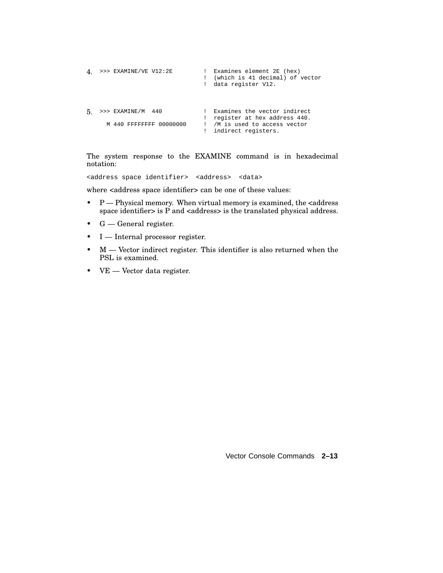```
4. >>> EXAMINE/VE V12:2E ! Examines element 2E (hex)
                                  ! (which is 41 decimal) of vector
                                  ! data register V12.
5. >>> EXAMINE/M 440 ! Examines the vector indirect
! register at hex address 440.
      M 440 FFFFFFFF 00000000 ! /M is used to access vector
                                 ! indirect registers.
```
The system response to the EXAMINE command is in hexadecimal notation:

<address space identifier> <address> <data>

where <address space identifier> can be one of these values:

- $P$  Physical memory. When virtual memory is examined, the  $\leq$ address space identifier> is  $\tilde{P}$  and <address> is the translated physical address.
- G General register.
- I Internal processor register.
- M Vector indirect register. This identifier is also returned when the PSL is examined.
- VE Vector data register.

Vector Console Commands **2–13**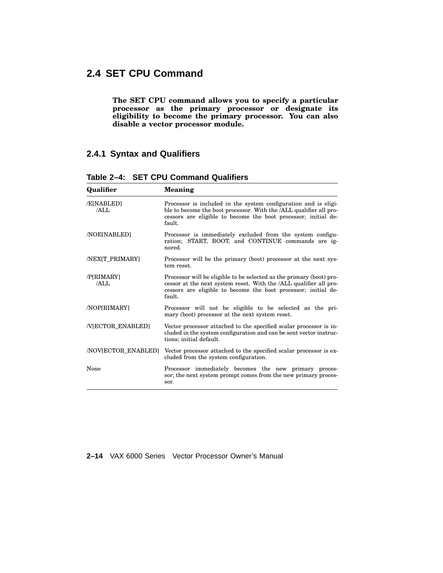## **2.4 SET CPU Command**

**The SET CPU command allows you to specify a particular processor as the primary processor or designate its eligibility to become the primary processor. You can also disable a vector processor module.**

### **2.4.1 Syntax and Qualifiers**

| Qualifier                      | <b>Meaning</b>                                                                                                                                                                                                          |
|--------------------------------|-------------------------------------------------------------------------------------------------------------------------------------------------------------------------------------------------------------------------|
| /E[NABLED]<br>/AI.I.           | Processor is included in the system configuration and is eligi-<br>ble to become the boot processor. With the <i>ALL</i> qualifier all pro-<br>cessors are eligible to become the boot processor; initial de-<br>fault. |
| <b>NOE[NABLED]</b>             | Processor is immediately excluded from the system configu-<br>ration; START, BOOT, and CONTINUE commands are ig-<br>nored.                                                                                              |
| <b>/NEXIT PRIMARYI</b>         | Processor will be the primary (boot) processor at the next sys-<br>tem reset.                                                                                                                                           |
| /PIRIMARYI<br>/AIJ.            | Processor will be eligible to be selected as the primary (boot) pro-<br>cessor at the next system reset. With the /ALL qualifier all pro-<br>cessors are eligible to become the boot processor; initial de-<br>fault.   |
| /NOP[RIMARY]                   | Processor will not be eligible to be selected as the pri-<br>mary (boot) processor at the next system reset.                                                                                                            |
| <b><i>NIECTOR ENABLEDI</i></b> | Vector processor attached to the specified scalar processor is in-<br>cluded in the system configuration and can be sent vector instruc-<br>tions; initial default.                                                     |
| /NOV[ECTOR_ENABLED]            | Vector processor attached to the specified scalar processor is ex-<br>cluded from the system configuration.                                                                                                             |
| None                           | Processor immediately becomes the new primary proces-<br>sor; the next system prompt comes from the new primary proces-<br>sor.                                                                                         |

**Table 2–4: SET CPU Command Qualifiers**

#### **2–14** VAX 6000 Series Vector Processor Owner's Manual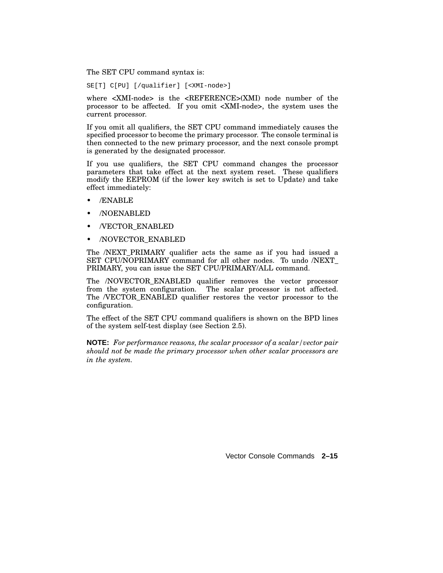The SET CPU command syntax is:

SE[T] C[PU] [/qualifier] [<XMI-node>]

where <XMI-node> is the <REFERENCE>(XMI) node number of the processor to be affected. If you omit <XMI-node>, the system uses the current processor.

If you omit all qualifiers, the SET CPU command immediately causes the specified processor to become the primary processor. The console terminal is then connected to the new primary processor, and the next console prompt is generated by the designated processor.

If you use qualifiers, the SET CPU command changes the processor parameters that take effect at the next system reset. These qualifiers modify the EEPROM (if the lower key switch is set to Update) and take effect immediately:

- /ENABLE
- /NOENABLED
- /VECTOR\_ENABLED
- /NOVECTOR\_ENABLED

The /NEXT\_PRIMARY qualifier acts the same as if you had issued a SET CPU/NOPRIMARY command for all other nodes. To undo /NEXT\_ PRIMARY, you can issue the SET CPU/PRIMARY/ALL command.

The /NOVECTOR\_ENABLED qualifier removes the vector processor from the system configuration. The scalar processor is not affected. The /VECTOR\_ENABLED qualifier restores the vector processor to the configuration.

The effect of the SET CPU command qualifiers is shown on the BPD lines of the system self-test display (see Section 2.5).

**NOTE:** *For performance reasons, the scalar processor of a scalar/vector pair should not be made the primary processor when other scalar processors are in the system.*

Vector Console Commands **2–15**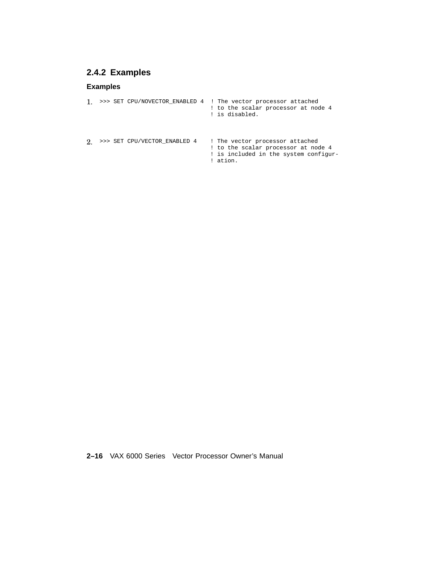## **2.4.2 Examples**

### **Examples**

|  |                              | >>> SET CPU/NOVECTOR ENABLED 4 : The vector processor attached<br>! to the scalar processor at node 4<br>! is disabled.   |
|--|------------------------------|---------------------------------------------------------------------------------------------------------------------------|
|  | >>> SET CPU/VECTOR ENABLED 4 | ! The vector processor attached<br>! to the scalar processor at node 4<br>! is included in the system configur-<br>ation. |

**2–16** VAX 6000 Series Vector Processor Owner's Manual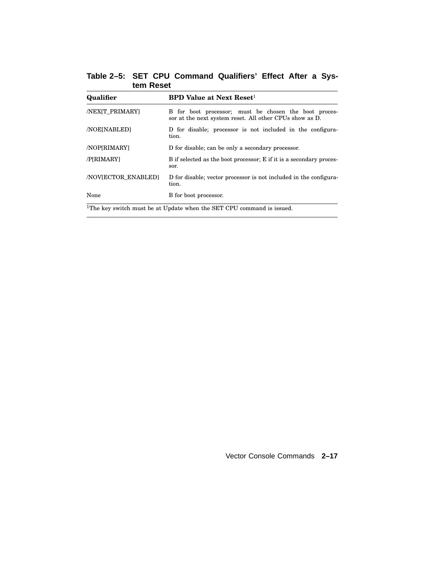**Table 2–5: SET CPU Command Qualifiers' Effect After a System Reset**

| Qualifier                 | <b>BPD Value at Next Reset<sup>1</sup></b>                                                                       |  |  |  |  |  |  |  |  |
|---------------------------|------------------------------------------------------------------------------------------------------------------|--|--|--|--|--|--|--|--|
| <b>/NEXIT PRIMARYI</b>    | B for boot processor; must be chosen the boot proces-<br>sor at the next system reset. All other CPUs show as D. |  |  |  |  |  |  |  |  |
| <b>NOE[NABLED]</b>        | D for disable; processor is not included in the configura-<br>tion.                                              |  |  |  |  |  |  |  |  |
| /NOP[RIMARY]              | D for disable; can be only a secondary processor.                                                                |  |  |  |  |  |  |  |  |
| /P[RIMARY]                | B if selected as the boot processor; E if it is a secondary proces-<br>sor.                                      |  |  |  |  |  |  |  |  |
| <b>NOVIECTOR ENABLEDI</b> | D for disable; vector processor is not included in the configura-<br>tion.                                       |  |  |  |  |  |  |  |  |
| None                      | B for boot processor.                                                                                            |  |  |  |  |  |  |  |  |
|                           | <sup>1</sup> The key switch must be at Update when the SET CPU command is issued.                                |  |  |  |  |  |  |  |  |

Vector Console Commands **2–17**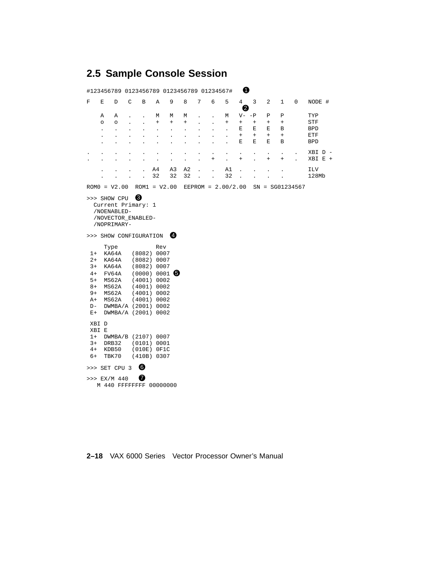## **2.5 Sample Console Session**

|                                                                                                               | #123456789 0123456789 0123456789 01234567#                                    |                                                                                                         |                      |                      |                                                                                                                                                                                                                                                             |                      |                      |                                   |                      |                                              | ❶                                             |                                   |                                               |                                         |                      |                    |
|---------------------------------------------------------------------------------------------------------------|-------------------------------------------------------------------------------|---------------------------------------------------------------------------------------------------------|----------------------|----------------------|-------------------------------------------------------------------------------------------------------------------------------------------------------------------------------------------------------------------------------------------------------------|----------------------|----------------------|-----------------------------------|----------------------|----------------------------------------------|-----------------------------------------------|-----------------------------------|-----------------------------------------------|-----------------------------------------|----------------------|--------------------|
| F                                                                                                             | Е                                                                             | D                                                                                                       | C                    | В                    | Α                                                                                                                                                                                                                                                           | 9                    | 8                    | 7                                 | 6                    | 5                                            | 4<br>0                                        | $\overline{3}$                    | 2                                             | $\mathbf{1}$                            | 0                    | NODE #             |
|                                                                                                               | Α                                                                             | Α                                                                                                       |                      |                      | М                                                                                                                                                                                                                                                           | М                    | М                    |                                   |                      | М                                            | $V - -P$                                      |                                   | Ρ                                             | Р                                       |                      | TYP                |
|                                                                                                               | $\circ$                                                                       | $\circ$                                                                                                 |                      | $\ddot{\phantom{0}}$ | $\begin{array}{c} + \end{array}$                                                                                                                                                                                                                            | $\ddot{}$            | $\ddot{}$            |                                   | $\ddot{\phantom{0}}$ | $\begin{array}{c} + \end{array}$             | $\begin{array}{c} + \end{array}$<br>Ε         | $\! + \!\!\!\!$<br>Е              | $\begin{array}{c} + \end{array}$<br>Ε         | $\! + \!\!\!\!$<br>В                    |                      | STF                |
|                                                                                                               | $\ddot{\phantom{0}}$                                                          | $\ddot{\phantom{0}}$                                                                                    |                      |                      |                                                                                                                                                                                                                                                             | $\ddot{\phantom{0}}$ | $\ddot{\phantom{0}}$ |                                   |                      | $\ddot{\phantom{0}}$<br>$\ddot{\phantom{a}}$ | $+$                                           | $^{+}$                            | $+$                                           | $^{+}$                                  |                      | BPD<br>ETF         |
|                                                                                                               |                                                                               |                                                                                                         |                      |                      |                                                                                                                                                                                                                                                             |                      |                      |                                   |                      | $\ddot{\phantom{0}}$                         | Ε                                             | Ε                                 | Ε                                             | В                                       |                      | <b>BPD</b>         |
|                                                                                                               |                                                                               |                                                                                                         |                      |                      |                                                                                                                                                                                                                                                             | $\ddot{\phantom{0}}$ | $\ddot{\phantom{0}}$ | $\bullet$<br>$\ddot{\phantom{0}}$ | $\bullet$<br>$^{+}$  | $\bullet$<br>$\ddot{\phantom{0}}$            | $\bullet$<br>$\begin{array}{c} + \end{array}$ | $\bullet$<br>$\ddot{\phantom{0}}$ | $\bullet$<br>$\begin{array}{c} + \end{array}$ | $\ddot{\phantom{0}}$<br>$\! + \!\!\!\!$ | $\ddot{\phantom{0}}$ | XBI D -<br>XBI E + |
|                                                                                                               |                                                                               |                                                                                                         | $\ddot{\phantom{0}}$ | $\ddot{\phantom{a}}$ | A4                                                                                                                                                                                                                                                          | A3                   | A <sub>2</sub>       | $\ddot{\phantom{a}}$              | $\ddot{\phantom{a}}$ | A1                                           | $\ddot{\phantom{0}}$                          | $\cdot$                           | $\cdot$                                       | $\ddot{\phantom{0}}$                    |                      | ILV                |
|                                                                                                               |                                                                               | $\ddot{\phantom{0}}$                                                                                    | $\ddot{\phantom{0}}$ | $\ddot{\phantom{a}}$ | 32                                                                                                                                                                                                                                                          | 32                   | 32                   | $\mathbf{r}$                      | $\ddot{\phantom{a}}$ | 32                                           |                                               |                                   |                                               |                                         |                      | 128Mb              |
|                                                                                                               | $ROM0 = V2.00$                                                                |                                                                                                         |                      |                      | $ROM1 = V2.00$                                                                                                                                                                                                                                              |                      |                      |                                   |                      | $EEPROM = 2.00/2.00$                         |                                               |                                   |                                               |                                         | $SN = SG01234567$    |                    |
| $1+$<br>$2+$<br>$3+$<br>$4+$<br>$5+$<br>$8+$<br>$9+$<br>$A+$<br>$D -$<br>$E+$<br>$1+$<br>$3+$<br>$4+$<br>$6+$ | /NOVECTOR_ENABLED-<br>/NOPRIMARY-<br>>>> SHOW CONFIGURATION<br>XBI D<br>XBI E | Type<br>KA64A<br>KA64A<br>KA64A<br>FV64A<br>MS62A<br>MS62A<br>MS62A<br>MS62A<br>DRB32<br>KDB50<br>TBK70 |                      |                      | Rev<br>(8082) 0007<br>(8082) 0007<br>(8082) 0007<br>$(0000) 0001$ $\bullet$<br>(4001) 0002<br>(4001) 0002<br>(4001) 0002<br>(4001) 0002<br>DWMBA/A (2001) 0002<br>DWMBA/A (2001) 0002<br>DWMBA/B (2107) 0007<br>(0101) 0001<br>$(010E)$ OF1C<br>(410B) 0307 | $\mathbf{4}$         |                      |                                   |                      |                                              |                                               |                                   |                                               |                                         |                      |                    |
|                                                                                                               | >>> SET CPU 3                                                                 |                                                                                                         |                      | 6                    |                                                                                                                                                                                                                                                             |                      |                      |                                   |                      |                                              |                                               |                                   |                                               |                                         |                      |                    |
|                                                                                                               | $>>$ EX/M 440                                                                 |                                                                                                         |                      | 0                    |                                                                                                                                                                                                                                                             |                      |                      |                                   |                      |                                              |                                               |                                   |                                               |                                         |                      |                    |
|                                                                                                               |                                                                               |                                                                                                         |                      |                      | M 440 FFFFFFFF 00000000                                                                                                                                                                                                                                     |                      |                      |                                   |                      |                                              |                                               |                                   |                                               |                                         |                      |                    |

#### **2–18** VAX 6000 Series Vector Processor Owner's Manual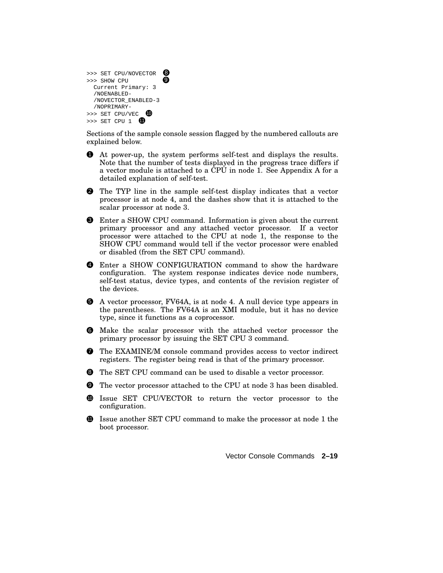|              | >>> SET CPU/NOVECTOR |  |
|--------------|----------------------|--|
| >>> SHOW CPU |                      |  |
|              | Current Primary: 3   |  |
|              | /NOENABLED-          |  |
|              | /NOVECTOR ENABLED-3  |  |
|              | /NOPRIMARY-          |  |
|              | >>> SET CPU/VEC      |  |
|              | >>> SET CPU 1        |  |

Sections of the sample console session flagged by the numbered callouts are explained below.

- 1 At power-up, the system performs self-test and displays the results. Note that the number of tests displayed in the progress trace differs if a vector module is attached to a CPU in node 1. See Appendix A for a detailed explanation of self-test.
- 2 The TYP line in the sample self-test display indicates that a vector processor is at node 4, and the dashes show that it is attached to the scalar processor at node 3.
- **3** Enter a SHOW CPU command. Information is given about the current primary processor and any attached vector processor. If a vector processor were attached to the CPU at node 1, the response to the SHOW CPU command would tell if the vector processor were enabled or disabled (from the SET CPU command).
- 4 Enter a SHOW CONFIGURATION command to show the hardware configuration. The system response indicates device node numbers, self-test status, device types, and contents of the revision register of the devices.
- 5 A vector processor, FV64A, is at node 4. A null device type appears in the parentheses. The FV64A is an XMI module, but it has no device type, since it functions as a coprocessor.
- 6 Make the scalar processor with the attached vector processor the primary processor by issuing the SET CPU 3 command.
- 7 The EXAMINE/M console command provides access to vector indirect registers. The register being read is that of the primary processor.
- 8 The SET CPU command can be used to disable a vector processor.
- 9 The vector processor attached to the CPU at node 3 has been disabled.
- <sup>10</sup> Issue SET CPU/VECTOR to return the vector processor to the configuration.
- $\bullet$  Issue another SET CPU command to make the processor at node 1 the boot processor.

Vector Console Commands **2–19**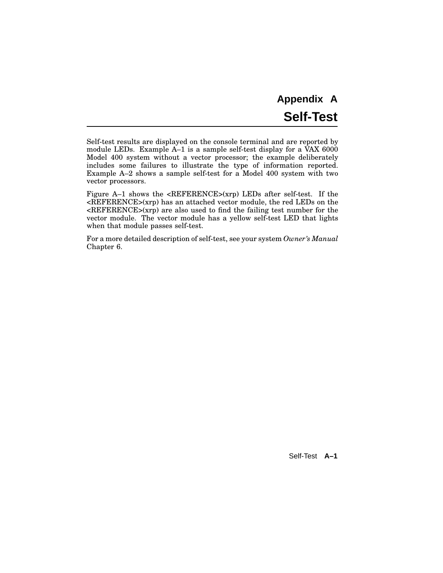# **Appendix A Self-Test**

Self-test results are displayed on the console terminal and are reported by module LEDs. Example A–1 is a sample self-test display for a VAX 6000 Model 400 system without a vector processor; the example deliberately includes some failures to illustrate the type of information reported. Example A–2 shows a sample self-test for a Model 400 system with two vector processors.

Figure  $A-1$  shows the  $\langle REFERENCE \rangle(xrp)$  LEDs after self-test. If the <REFERENCE>(xrp) has an attached vector module, the red LEDs on the <REFERENCE>(xrp) are also used to find the failing test number for the vector module. The vector module has a yellow self-test LED that lights when that module passes self-test.

For a more detailed description of self-test, see your system *Owner's Manual* Chapter 6.

Self-Test **A–1**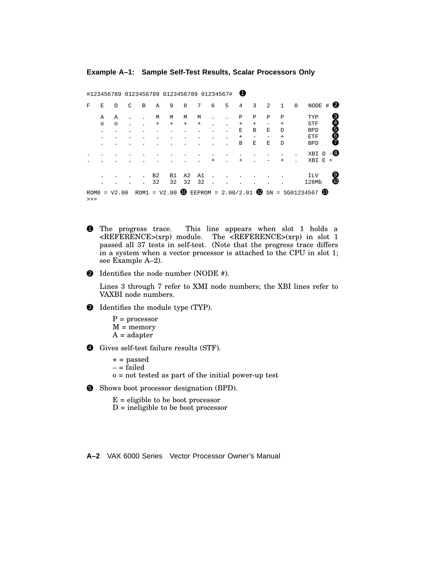#### **Example A–1: Sample Self-Test Results, Scalar Processors Only**

|            |          |         |   |   |                      | #123456789 0123456789 0123456789 01234567# |                      |                                  |        |   | O         |           |   |              |             |                                                        |             |
|------------|----------|---------|---|---|----------------------|--------------------------------------------|----------------------|----------------------------------|--------|---|-----------|-----------|---|--------------|-------------|--------------------------------------------------------|-------------|
| F          | E        | D       | C | B | Α                    | 9                                          | 8                    | 7                                | 6      | 5 | 4         | 3         | 2 | $\mathbf{1}$ | $\mathbf 0$ | NODE<br>#                                              | 2           |
|            | Α        | Α       |   |   | М                    | М                                          | М                    | М                                |        |   | P         | Ρ         | Ρ | Ρ            |             | TYP                                                    | 6066<br>606 |
|            | $\Omega$ | $\circ$ |   |   | $+$                  | $\ddot{}$                                  | $+$                  | $\begin{array}{c} + \end{array}$ |        |   | $+$       | $\ddot{}$ |   | $\pm$        |             | STF                                                    |             |
|            |          |         |   |   |                      |                                            |                      |                                  |        |   | Ε         | B         | Е | D            |             | <b>BPD</b>                                             |             |
|            |          |         |   |   |                      |                                            |                      |                                  |        |   | $\ddot{}$ |           |   | $\ddot{}$    |             | ETF                                                    |             |
|            |          |         |   |   |                      |                                            |                      |                                  |        |   | B         | Е         | E | D            |             | <b>BPD</b>                                             |             |
|            |          |         |   |   |                      |                                            |                      |                                  |        |   |           |           |   |              |             | XBI<br>Ð                                               | $-8$        |
|            |          |         |   |   |                      |                                            |                      |                                  | $^{+}$ |   | $+$       |           |   | $^{+}$       |             | XBI<br>E<br>$^{+}$                                     |             |
|            |          |         |   |   | B <sub>2</sub><br>32 | B1<br>32                                   | A <sub>2</sub><br>32 | A1<br>32                         |        |   |           |           |   |              |             | <b>ILV</b><br>128Mb                                    | 9<br>0      |
| ROM0<br>>> | $=$      | V2.00   |   |   |                      | $ROM1 = V2.00$                             | <b>ID</b>            |                                  |        |   |           |           |   |              |             | EEPROM = 2.00/2.01 $\bullet$ SN = SG01234567 $\bullet$ |             |

- 1 The progress trace. This line appears when slot 1 holds a <REFERENCE>(xrp) module. The <REFERENCE>(xrp) in slot 1 passed all 37 tests in self-test. (Note that the progress trace differs in a system when a vector processor is attached to the CPU in slot 1; see Example A–2).
- 2 Identifies the node number (NODE #).

Lines 3 through 7 refer to XMI node numbers; the XBI lines refer to VAXBI node numbers.

- $\bullet$  Identifies the module type (TYP).
	- $P = processor$  $M =$  memory  $A = adapter$
- 4 Gives self-test failure results (STF).
	- $+$  = passed
	- $-$  = failed
	- o = not tested as part of the initial power-up test

5 Shows boot processor designation (BPD).

- $E =$  eligible to be boot processor
- $D$  = ineligible to be boot processor

**A–2** VAX 6000 Series Vector Processor Owner's Manual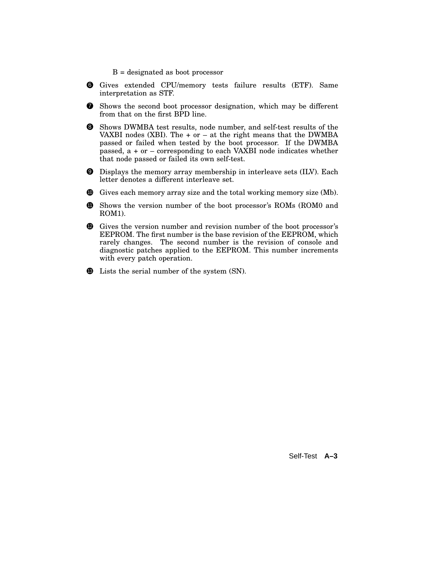- B = designated as boot processor
- 6 Gives extended CPU/memory tests failure results (ETF). Same interpretation as STF.
- $\bullet$  Shows the second boot processor designation, which may be different from that on the first BPD line.
- 8 Shows DWMBA test results, node number, and self-test results of the VAXBI nodes (XBI). The  $+$  or  $-$  at the right means that the DWMBA passed or failed when tested by the boot processor. If the DWMBA passed, a + or – corresponding to each VAXBI node indicates whether that node passed or failed its own self-test.
- 9 Displays the memory array membership in interleave sets (ILV). Each letter denotes a different interleave set.
- <sup>10</sup> Gives each memory array size and the total working memory size (Mb).
- **11** Shows the version number of the boot processor's ROMs (ROM0 and ROM1).
- <sup>12</sup> Gives the version number and revision number of the boot processor's EEPROM. The first number is the base revision of the EEPROM, which rarely changes. The second number is the revision of console and diagnostic patches applied to the EEPROM. This number increments with every patch operation.
- **13** Lists the serial number of the system (SN).

Self-Test **A–3**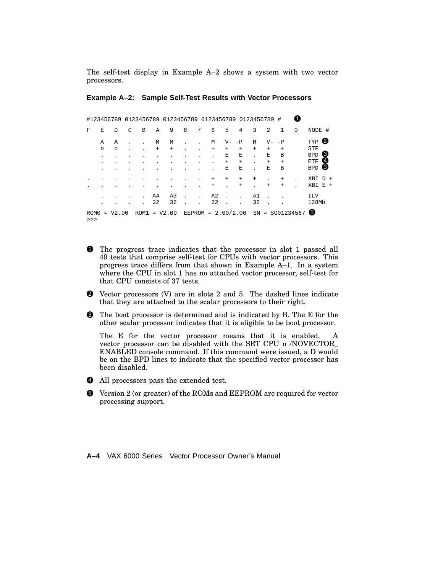The self-test display in Example A–2 shows a system with two vector processors.

#### **Example A–2: Sample Self-Test Results with Vector Processors**

|            |         |           |   |   |        |                | #123456789 0123456789 0123456789 0123456789 0123456789 # |                      |                      |          |                  |        |              |                   |             |                          |                  |  |
|------------|---------|-----------|---|---|--------|----------------|----------------------------------------------------------|----------------------|----------------------|----------|------------------|--------|--------------|-------------------|-------------|--------------------------|------------------|--|
| F          | E       | D         | C | B | Α      | 9              | 8                                                        | 7                    | 6                    | 5        | 4                | 3      | 2            | $\mathbf{1}$      | $\mathbf 0$ | NODE #                   |                  |  |
|            | A       | Α         |   |   | М      | М              |                                                          |                      | М                    | $V -$    | $-P$             | M      | $V -$        | $-P$              |             | TYP                      | 2                |  |
|            | $\circ$ | $\circ$   |   |   | $^{+}$ | $\ddot{}$      |                                                          |                      | $^{+}$               | $+$<br>Ε | $\ddot{}$<br>Ε   | $+$    | $+$<br>E     | $^{+}$<br>В       |             | <b>STF</b><br><b>BPD</b> | $\left(3\right)$ |  |
|            |         |           |   |   |        |                |                                                          | ٠                    |                      | $+$<br>Е | $^{+}$<br>Е      |        | $+$<br>E     | $^{+}$<br>B       |             | ETF<br><b>BPD</b>        | (4<br>6          |  |
|            |         |           |   |   |        |                |                                                          |                      |                      |          |                  |        |              |                   |             |                          |                  |  |
|            |         |           |   |   |        |                |                                                          | $\ddot{\phantom{a}}$ | $^{+}$<br>$^{+}$     | $^{+}$   | $^{+}$<br>$^{+}$ | $^{+}$ | ä.<br>$^{+}$ | $+$<br>$+$        |             | $XBI$ $D$ +<br>XBI       | $E +$            |  |
|            |         |           |   |   | A4     | A <sub>3</sub> |                                                          | ÷.                   | A <sub>2</sub>       |          |                  | A1     |              |                   |             | <b>ILV</b>               |                  |  |
|            |         |           |   |   | 32     | 32             |                                                          |                      | 32                   |          |                  | 32     |              |                   |             | 128Mb                    |                  |  |
| ROM0<br>>> |         | $= V2.00$ |   |   |        | $ROM1 = V2.00$ |                                                          |                      | EEPROM = $2.00/2.00$ |          |                  |        |              | $SN = SG01234567$ |             | 6                        |                  |  |

- **1** The progress trace indicates that the processor in slot 1 passed all 49 tests that comprise self-test for CPUs with vector processors. This progress trace differs from that shown in Example A–1. In a system where the CPU in slot 1 has no attached vector processor, self-test for that CPU consists of 37 tests.
- 2 Vector processors (V) are in slots 2 and 5. The dashed lines indicate that they are attached to the scalar processors to their right.
- 3 The boot processor is determined and is indicated by B. The E for the other scalar processor indicates that it is eligible to be boot processor.

The E for the vector processor means that it is enabled. A vector processor can be disabled with the SET CPU n /NOVECTOR\_ ENABLED console command. If this command were issued, a D would be on the BPD lines to indicate that the specified vector processor has been disabled.

- 4 All processors pass the extended test.
- 5 Version 2 (or greater) of the ROMs and EEPROM are required for vector processing support.

**A–4** VAX 6000 Series Vector Processor Owner's Manual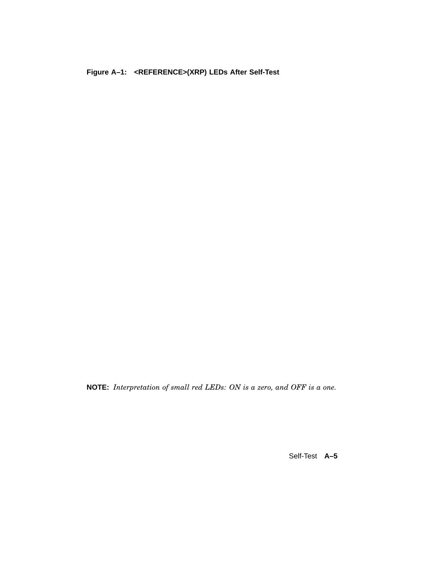**Figure A–1: <REFERENCE>(XRP) LEDs After Self-Test**

**NOTE:** *Interpretation of small red LEDs: ON is a zero, and OFF is a one.*

Self-Test **A–5**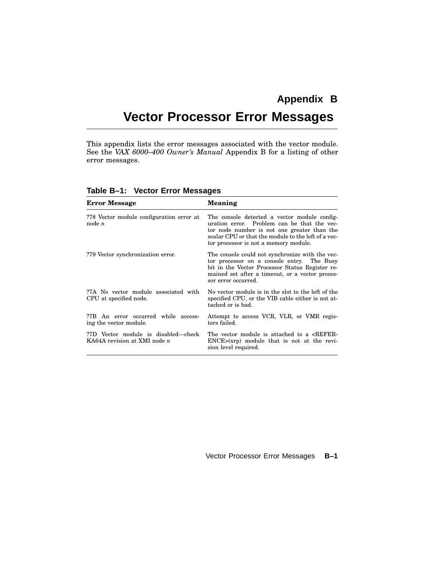# **Appendix B Vector Processor Error Messages**

This appendix lists the error messages associated with the vector module. See the *VAX 6000–400 Owner's Manual* Appendix B for a listing of other error messages.

| <b>Error Message</b>                                                       | <b>Meaning</b>                                                                                                                                                                                                                             |
|----------------------------------------------------------------------------|--------------------------------------------------------------------------------------------------------------------------------------------------------------------------------------------------------------------------------------------|
| ?78 Vector module configuration error at<br>node n                         | The console detected a vector module config-<br>uration error. Problem can be that the vec-<br>tor node number is not one greater than the<br>scalar CPU or that the module to the left of a vec-<br>tor processor is not a memory module. |
| ?79 Vector synchronization error.                                          | The console could not synchronize with the vec-<br>tor processor on a console entry. The Busy<br>bit in the Vector Processor Status Register re-<br>mained set after a timeout, or a vector proces-<br>sor error occurred.                 |
| ?7A No vector module associated with<br>CPU at specified node.             | No vector module is in the slot to the left of the<br>specified CPU, or the VIB cable either is not at-<br>tached or is bad.                                                                                                               |
| ?7B An error occurred while access-<br>ing the vector module.              | Attempt to access VCR, VLR, or VMR regis-<br>ters failed.                                                                                                                                                                                  |
| ?7D Vector module is disabled—check<br>KA64A revision at XMI node <i>n</i> | The vector module is attached to a <refer-<br><math>ENCE&gt;(xrp)</math> module that is not at the revi-<br/>sion level required.</refer-<br>                                                                                              |

**Table B–1: Vector Error Messages**

#### Vector Processor Error Messages **B–1**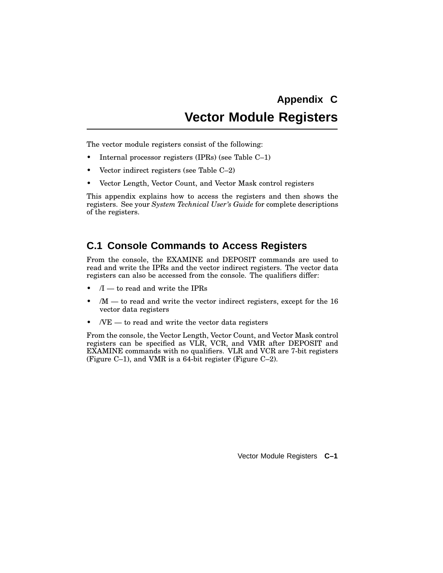# **Appendix C Vector Module Registers**

The vector module registers consist of the following:

- Internal processor registers (IPRs) (see Table C–1)
- Vector indirect registers (see Table C–2)
- Vector Length, Vector Count, and Vector Mask control registers

This appendix explains how to access the registers and then shows the registers. See your *System Technical User's Guide* for complete descriptions of the registers.

## **C.1 Console Commands to Access Registers**

From the console, the EXAMINE and DEPOSIT commands are used to read and write the IPRs and the vector indirect registers. The vector data registers can also be accessed from the console. The qualifiers differ:

- $/I$  to read and write the IPRs
- $/M -$  to read and write the vector indirect registers, except for the 16 vector data registers
- $/VE$  to read and write the vector data registers

From the console, the Vector Length, Vector Count, and Vector Mask control registers can be specified as VLR, VCR, and VMR after DEPOSIT and EXAMINE commands with no qualifiers. VLR and VCR are 7-bit registers (Figure C–1), and VMR is a 64-bit register (Figure C–2).

Vector Module Registers **C–1**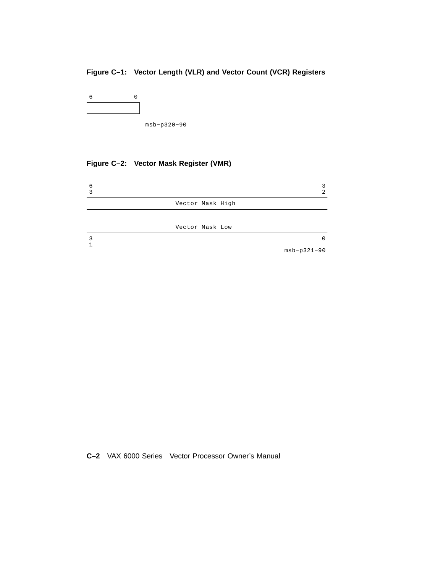### **Figure C–1: Vector Length (VLR) and Vector Count (VCR) Registers**

| 6 | 0 |
|---|---|
|   |   |
|   |   |

msb−p320−90

## **Figure C–2: Vector Mask Register (VMR)**



**C–2** VAX 6000 Series Vector Processor Owner's Manual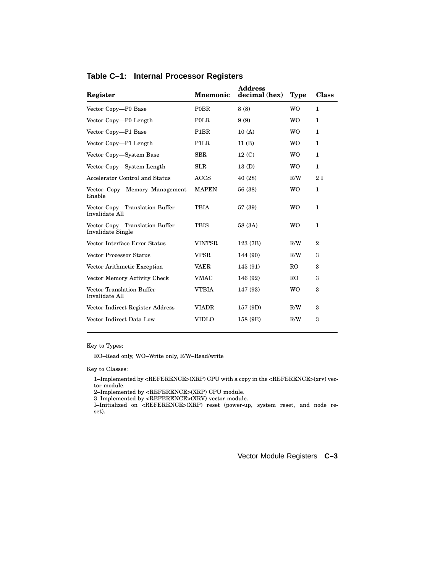| Register                                                   | <b>Mnemonic</b>               | <b>Address</b><br>decimal (hex) | <b>Type</b>    | <b>Class</b> |
|------------------------------------------------------------|-------------------------------|---------------------------------|----------------|--------------|
| Vector Copy-P0 Base                                        | <b>POBR</b>                   | 8(8)                            | <b>WO</b>      | $\mathbf{1}$ |
| Vector Copy-P0 Length                                      | <b>POLR</b>                   | 9(9)                            | <b>WO</b>      | 1.           |
| Vector Copy-P1 Base                                        | P1BR                          | 10(A)                           | W <sub>O</sub> | 1            |
| Vector Copy-P1 Length                                      | P <sub>1</sub> L <sub>R</sub> | 11(B)                           | <b>WO</b>      | $\mathbf{1}$ |
| Vector Copy-System Base                                    | <b>SBR</b>                    | 12 <sub>(C)</sub>               | W <sub>O</sub> | $\mathbf{1}$ |
| Vector Copy—System Length                                  | <b>SLR</b>                    | 13(D)                           | <b>WO</b>      | 1            |
| Accelerator Control and Status                             | <b>ACCS</b>                   | 40 (28)                         | R/W            | 2I           |
| Vector Copy-Memory Management<br>Enable                    | <b>MAPEN</b>                  | 56 (38)                         | <b>WO</b>      | 1            |
| Vector Copy—Translation Buffer<br>Invalidate All           | <b>TBIA</b>                   | 57 (39)                         | W <sub>O</sub> | $\mathbf{1}$ |
| Vector Copy—Translation Buffer<br><b>Invalidate Single</b> | TBIS                          | 58 (3A)                         | <b>WO</b>      | 1            |
| Vector Interface Error Status                              | <b>VINTSR</b>                 | 123 (7B)                        | R/W            | $\mathbf{2}$ |
| <b>Vector Processor Status</b>                             | <b>VPSR</b>                   | 144 (90)                        | R/W            | 3            |
| Vector Arithmetic Exception                                | <b>VAER</b>                   | 145 (91)                        | R <sub>O</sub> | 3            |
| Vector Memory Activity Check                               | <b>VMAC</b>                   | 146 (92)                        | RO.            | 3            |
| Vector Translation Buffer<br>Invalidate All                | <b>VTBIA</b>                  | 147 (93)                        | <b>WO</b>      | 3            |
| Vector Indirect Register Address                           | <b>VIADR</b>                  | 157 (9D)                        | R/W            | 3            |
| Vector Indirect Data Low                                   | <b>VIDLO</b>                  | 158 (9E)                        | R/W            | 3            |

#### **Table C–1: Internal Processor Registers**

Key to Types:

RO–Read only, WO–Write only, R/W–Read/write

Key to Classes:

1–Implemented by <REFERENCE>(XRP) CPU with a copy in the <REFERENCE>(xrv) vector module.

2–Implemented by <REFERENCE>(XRP) CPU module. 3–Implemented by <REFERENCE>(XRV) vector module.

I–Initialized on <REFERENCE>(XRP) reset (power-up, system reset, and node reset).

Vector Module Registers **C–3**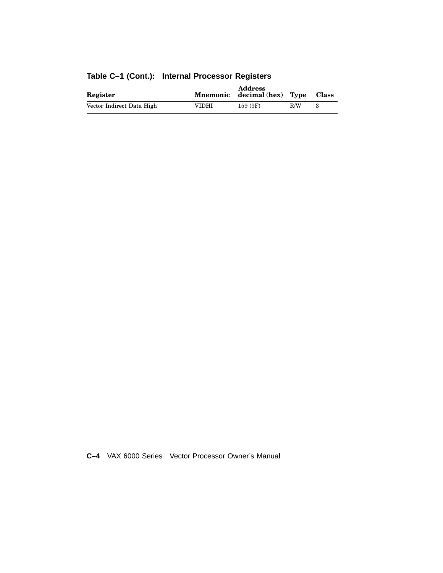| Register                  | Mnemonic | <b>Address</b><br>decimal (hex) Type |     | <b>Class</b> |  |
|---------------------------|----------|--------------------------------------|-----|--------------|--|
| Vector Indirect Data High | VIDHI    | 159 (9F)                             | R/W | з            |  |

## **Table C–1 (Cont.): Internal Processor Registers**

**C–4** VAX 6000 Series Vector Processor Owner's Manual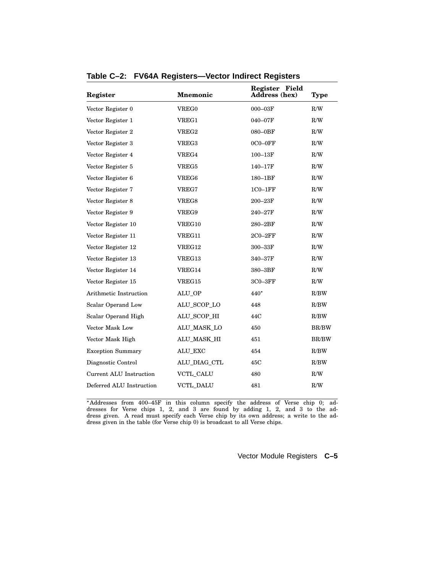| Register                 | <b>Mnemonic</b>  | Register Field<br>Address (hex) | Type         |  |  |
|--------------------------|------------------|---------------------------------|--------------|--|--|
| Vector Register 0        | VREG0            | 000-03F                         | R/W          |  |  |
| Vector Register 1        | VREG1            | 040-07F                         | R/W          |  |  |
| Vector Register 2        | VREG2            | 080-0BF                         | R/W          |  |  |
| Vector Register 3        | <b>VREG3</b>     | $0C0 - 0FF$                     | R/W          |  |  |
| Vector Register 4        | VREG4            | $100 - 13F$                     | R/W          |  |  |
| Vector Register 5        | <b>VREG5</b>     | 140-17F                         | R/W          |  |  |
| Vector Register 6        | VREG6            | $180 - 1BF$                     | R/W          |  |  |
| Vector Register 7        | VREG7            | $1C0-1FF$                       | R/W          |  |  |
| Vector Register 8        | VREG8            | $200 - 23F$                     | R/W          |  |  |
| Vector Register 9        | VREG9            | 240-27F                         | R/W          |  |  |
| Vector Register 10       | VREG10           | $280 - 2BF$                     | R/W          |  |  |
| Vector Register 11       | VREG11           | $2C0 - 2FF$                     | R/W          |  |  |
| Vector Register 12       | VREG12           | 300-33F                         | R/W          |  |  |
| Vector Register 13       | VREG13           | 340-37F                         | R/W          |  |  |
| Vector Register 14       | VREG14           | 380-3BF                         | R/W          |  |  |
| Vector Register 15       | VREG15           | $3C0 - 3FF$                     | R/W          |  |  |
| Arithmetic Instruction   | ALU OP           | 440*                            | R/BW         |  |  |
| Scalar Operand Low       | ALU_SCOP_LO      | 448                             | R/BW         |  |  |
| Scalar Operand High      | ALU_SCOP_HI      | 44C                             | R/BW         |  |  |
| Vector Mask Low          | ALU_MASK_LO      | 450                             | BR/BW        |  |  |
| Vector Mask High         | ALU_MASK_HI      | 451                             | <b>BR/BW</b> |  |  |
| <b>Exception Summary</b> | ALU_EXC          | 454                             | R/BW         |  |  |
| Diagnostic Control       | ALU_DIAG_CTL     | 45C                             | R/BW         |  |  |
| Current ALU Instruction  | <b>VCTL_CALU</b> | 480                             | R/W          |  |  |
| Deferred ALU Instruction | <b>VCTL_DALU</b> | 481                             | R/W          |  |  |
|                          |                  |                                 |              |  |  |

**Table C–2: FV64A Registers—Vector Indirect Registers**

 Addresses from 400–45F in this column specify the address of Verse chip 0; addresses for Verse chips 1, 2, and 3 are found by adding 1, 2, and 3 to the address given. A read must specify each Verse chip by its own address; a write to the address given in the table (for Verse chip 0) is broadcast to all Verse chips.

Vector Module Registers **C–5**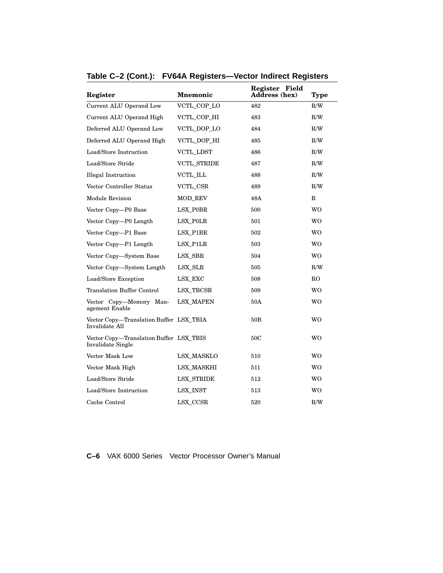| Register                                                     | <b>Mnemonic</b>    | Register Field<br>Address (hex) | <b>Type</b>    |
|--------------------------------------------------------------|--------------------|---------------------------------|----------------|
| Current ALU Operand Low                                      | VCTL_COP_LO        | 482                             | R/W            |
| Current ALU Operand High                                     | VCTL_COP_HI        | 483                             | R/W            |
| Deferred ALU Operand Low                                     | VCTL_DOP_LO        | 484                             | R/W            |
| Deferred ALU Operand High                                    | VCTL DOP HI        | 485                             | R/W            |
| Load/Store Instruction                                       | <b>VCTL_LDST</b>   | 486                             | R/W            |
| Load/Store Stride                                            | <b>VCTL STRIDE</b> | 487                             | R/W            |
| <b>Illegal Instruction</b>                                   | VCTL_ILL           | 488                             | R/W            |
| Vector Controller Status                                     | VCTL_CSR           | 489                             | R/W            |
| Module Revision                                              | <b>MOD REV</b>     | 48A                             | $\mathbf R$    |
| Vector Copy-P0 Base                                          | LSX_P0BR           | 500                             | WO             |
| Vector Copy-P0 Length                                        | LSX POLR           | 501                             | <b>WO</b>      |
| Vector Copy-P1 Base                                          | LSX_P1BR           | 502                             | <b>WO</b>      |
| Vector Copy-P1 Length                                        | LSX P1LR           | 503                             | <b>WO</b>      |
| Vector Copy-System Base                                      | LSX SBR            | 504                             | <b>WO</b>      |
| Vector Copy-System Length                                    | LSX_SLR            | 505                             | R/W            |
| Load/Store Exception                                         | LSX_EXC            | 508                             | R <sub>O</sub> |
| <b>Translation Buffer Control</b>                            | <b>LSX_TBCSR</b>   | 509                             | WO             |
| Vector Copy-Memory Man-<br>agement Enable                    | <b>LSX MAPEN</b>   | 50A                             | <b>WO</b>      |
| Vector Copy-Translation Buffer LSX_TBIA<br>Invalidate All    |                    | 50B                             | WO             |
| Vector Copy-Translation Buffer LSX_TBIS<br>Invalidate Single |                    | 50C                             | WO             |
| Vector Mask Low                                              | LSX MASKLO         | 510                             | <b>WO</b>      |
| Vector Mask High                                             | <b>LSX_MASKHI</b>  | 511                             | WO             |
| Load/Store Stride                                            | <b>LSX STRIDE</b>  | 512                             | WO             |
| Load/Store Instruction                                       | <b>LSX_INST</b>    | 513                             | <b>WO</b>      |
| Cache Control                                                | LSX_CCSR           | 520                             | R/W            |

## **Table C–2 (Cont.): FV64A Registers—Vector Indirect Registers**

**C–6** VAX 6000 Series Vector Processor Owner's Manual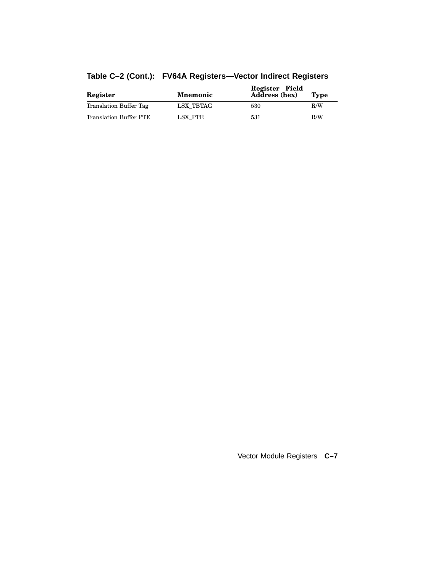| Register               | <b>Mnemonic</b> | Register Field<br><b>Address</b> (hex) | <b>Type</b> |
|------------------------|-----------------|----------------------------------------|-------------|
| Translation Buffer Tag | LSX TBTAG       | 530                                    | R/W         |
| Translation Buffer PTE | LSX PTE         | 531                                    | R/W         |

## **Table C–2 (Cont.): FV64A Registers—Vector Indirect Registers**

Vector Module Registers **C–7**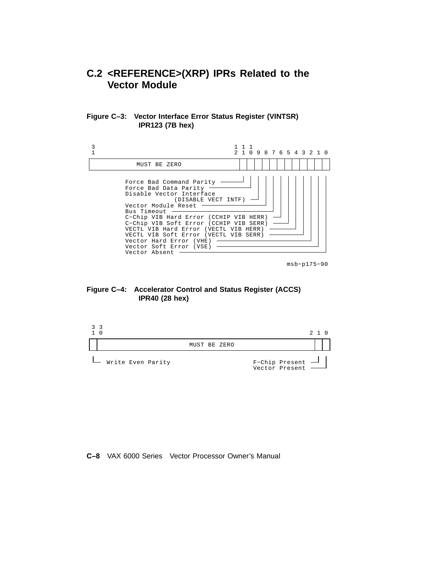## **C.2 <REFERENCE>(XRP) IPRs Related to the Vector Module**





msb−p175−90

#### **Figure C–4: Accelerator Control and Status Register (ACCS) IPR40 (28 hex)**



#### **C–8** VAX 6000 Series Vector Processor Owner's Manual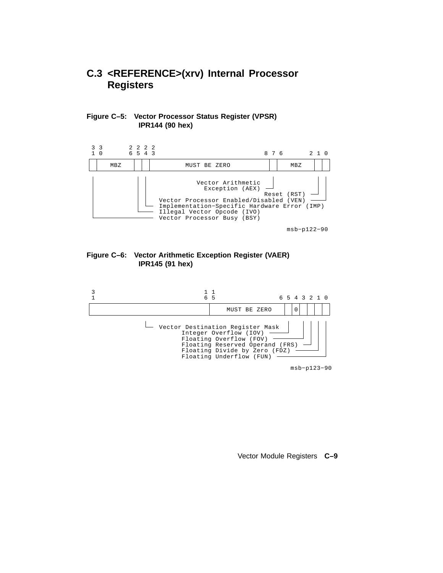## **C.3 <REFERENCE>(xrv) Internal Processor Registers**

#### **Figure C–5: Vector Processor Status Register (VPSR) IPR144 (90 hex)**



msb−p122−90

#### **Figure C–6: Vector Arithmetic Exception Register (VAER) IPR145 (91 hex)**



msb−p123−90

Vector Module Registers **C–9**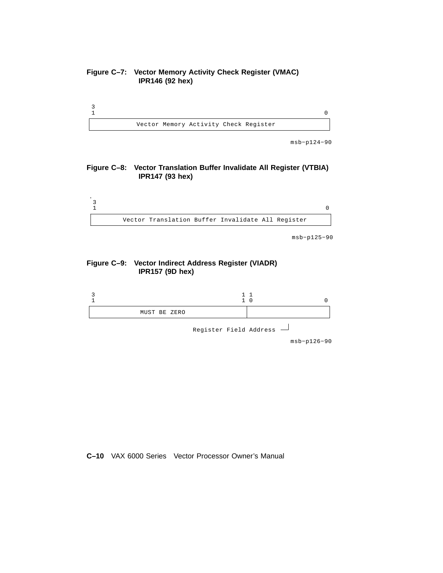#### **Figure C–7: Vector Memory Activity Check Register (VMAC) IPR146 (92 hex)**



msb−p124−90

#### **Figure C–8: Vector Translation Buffer Invalidate All Register (VTBIA) IPR147 (93 hex)**



msb−p125−90

#### **Figure C–9: Vector Indirect Address Register (VIADR) IPR157 (9D hex)**



msb−p126−90

#### **C–10** VAX 6000 Series Vector Processor Owner's Manual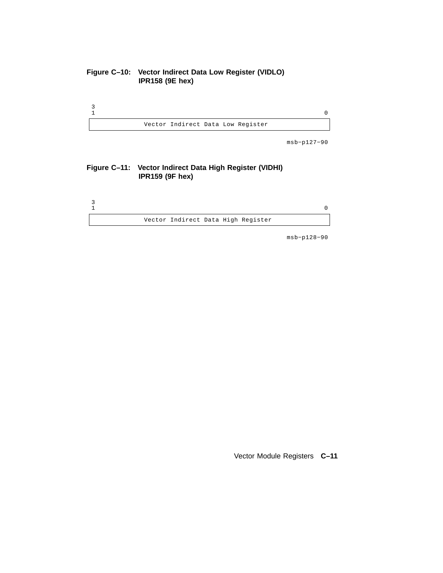#### **Figure C–10: Vector Indirect Data Low Register (VIDLO) IPR158 (9E hex)**



msb−p127−90

#### **Figure C–11: Vector Indirect Data High Register (VIDHI) IPR159 (9F hex)**



msb−p128−90

Vector Module Registers **C–11**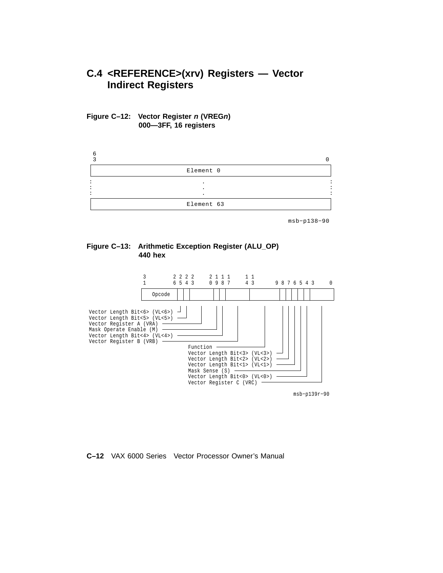## **C.4 <REFERENCE>(xrv) Registers — Vector Indirect Registers**





msb−p138−90





msb−p139r−90

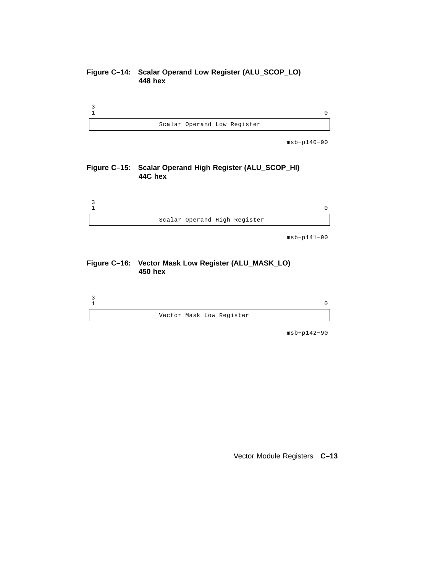#### **Figure C–14: Scalar Operand Low Register (ALU\_SCOP\_LO) 448 hex**



msb−p140−90

#### **Figure C–15: Scalar Operand High Register (ALU\_SCOP\_HI) 44C hex**



msb−p141−90

#### **Figure C–16: Vector Mask Low Register (ALU\_MASK\_LO) 450 hex**



msb−p142−90

Vector Module Registers **C–13**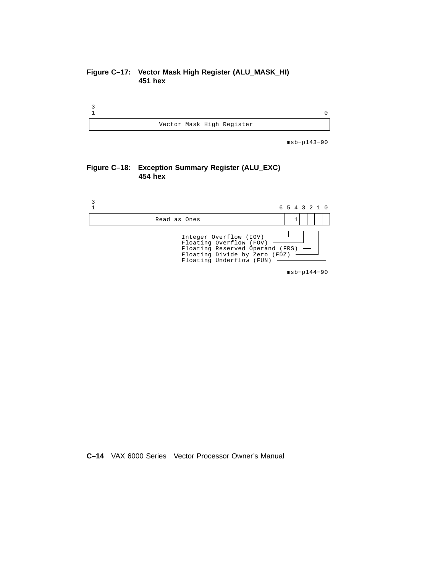#### **Figure C–17: Vector Mask High Register (ALU\_MASK\_HI) 451 hex**



msb−p143−90

#### **Figure C–18: Exception Summary Register (ALU\_EXC) 454 hex**



**C–14** VAX 6000 Series Vector Processor Owner's Manual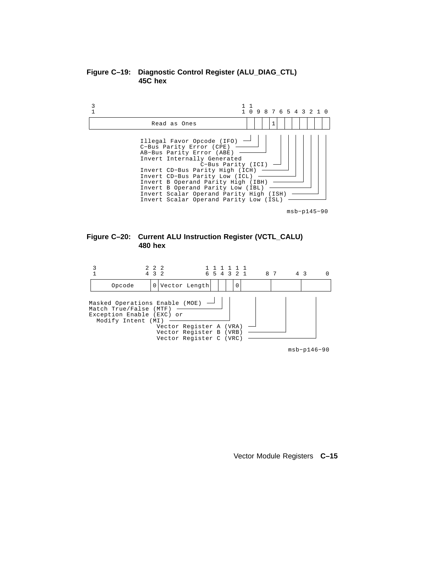



msb−p145−90





msb−p146−90

Vector Module Registers **C–15**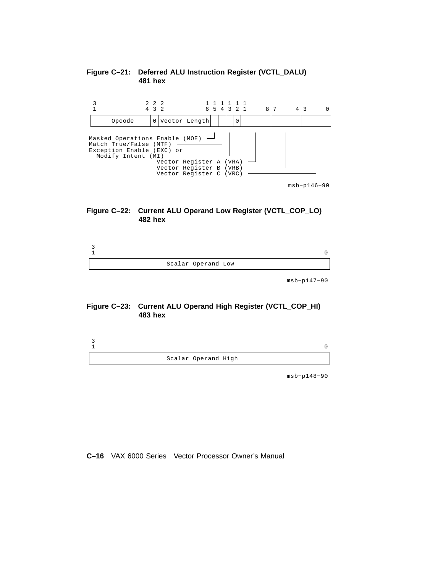

#### **Figure C–21: Deferred ALU Instruction Register (VCTL\_DALU) hex**



| Scalar Operand Low |  |
|--------------------|--|

msb−p147−90

#### **Figure C–23: Current ALU Operand High Register (VCTL\_COP\_HI) hex**



msb−p148−90

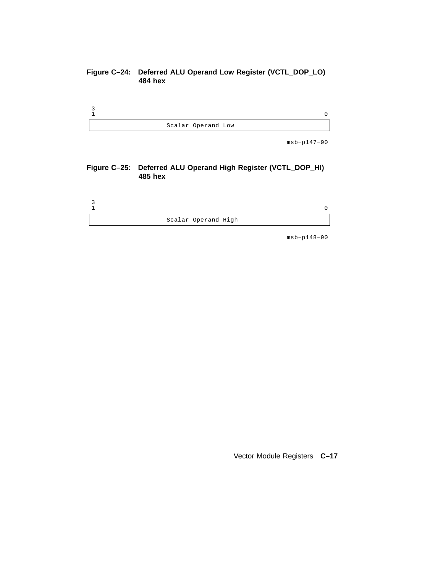#### **Figure C–24: Deferred ALU Operand Low Register (VCTL\_DOP\_LO) 484 hex**



msb−p147−90

#### **Figure C–25: Deferred ALU Operand High Register (VCTL\_DOP\_HI) 485 hex**



msb−p148−90

Vector Module Registers **C–17**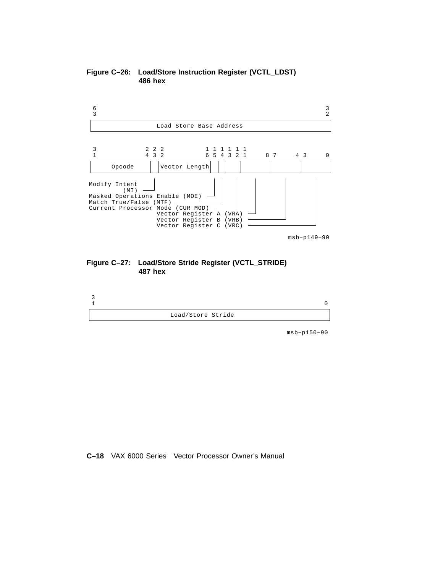



#### **Figure C–27: Load/Store Stride Register (VCTL\_STRIDE) 487 hex**



msb−p150−90

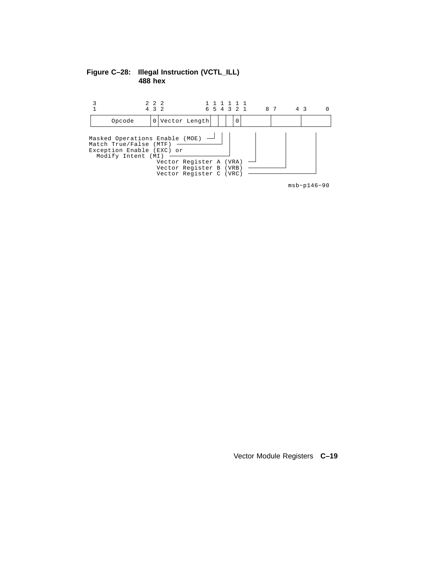#### **Figure C–28: Illegal Instruction (VCTL\_ILL) hex**



msb−p146−90

Vector Module Registers **C–19**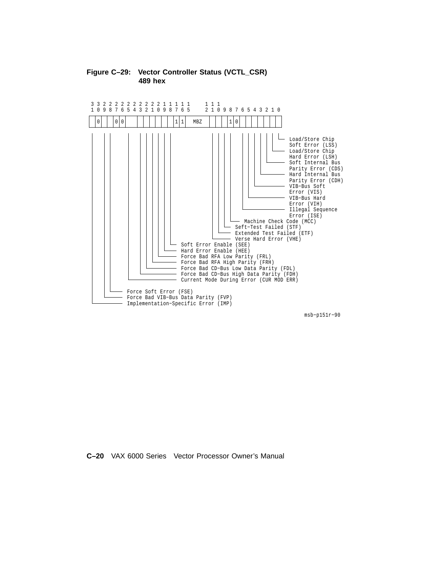

#### **Figure C–29: Vector Controller Status (VCTL\_CSR) 489 hex**

msb−p151r−90

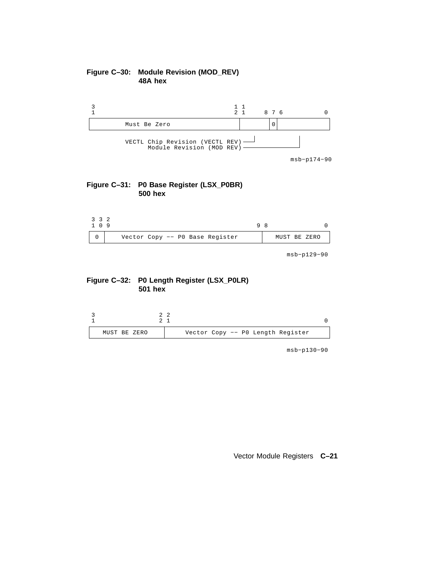#### **Figure C–30: Module Revision (MOD\_REV) 48A hex**







msb−p129−90





msb−p130−90

#### Vector Module Registers **C–21**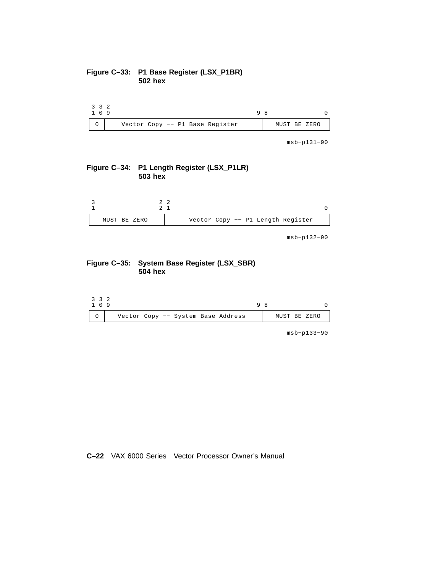#### **Figure C–33: P1 Base Register (LSX\_P1BR) hex**

| 3 3 2<br>109 |                                 |  |              |  |  |
|--------------|---------------------------------|--|--------------|--|--|
|              | Vector Copy -- P1 Base Register |  | MUST BE ZERO |  |  |

msb−p131−90

#### **Figure C–34: P1 Length Register (LSX\_P1LR) hex**



msb−p132−90

#### **Figure C–35: System Base Register (LSX\_SBR) hex**

| 3 3 2<br>1 0 9 |  |                                    | a |              |  |  |
|----------------|--|------------------------------------|---|--------------|--|--|
|                |  | Vector Copy -- System Base Address |   | MUST BE ZERO |  |  |

msb−p133−90

#### **C–22** VAX 6000 Series Vector Processor Owner's Manual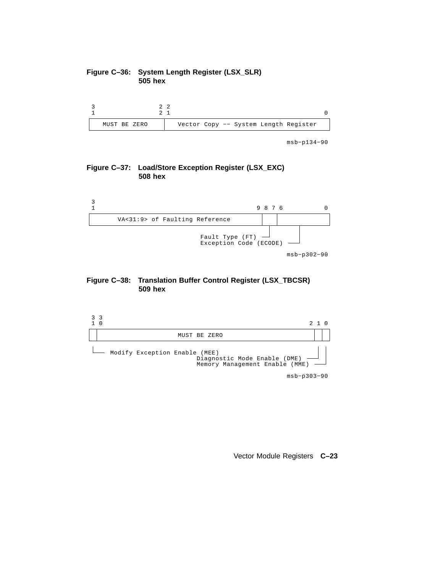#### **Figure C–36: System Length Register (LSX\_SLR) 505 hex**



msb−p134−90

#### **Figure C–37: Load/Store Exception Register (LSX\_EXC) 508 hex**







Vector Module Registers **C–23**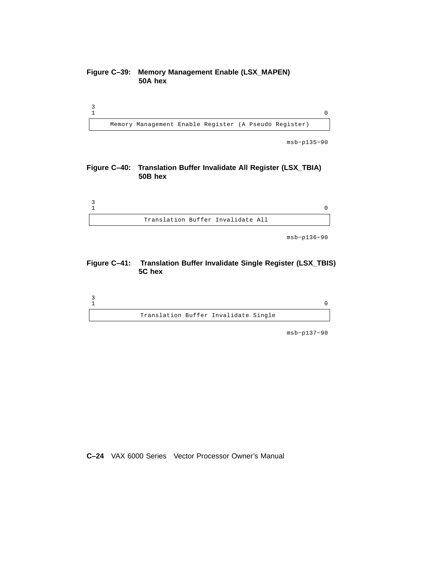#### **Figure C–39: Memory Management Enable (LSX\_MAPEN) 50A hex**



msb−p135−90

#### **Figure C–40: Translation Buffer Invalidate All Register (LSX\_TBIA) 50B hex**



msb−p136−90

#### **Figure C–41: Translation Buffer Invalidate Single Register (LSX\_TBIS) 5C hex**



msb−p137−90

**C–24** VAX 6000 Series Vector Processor Owner's Manual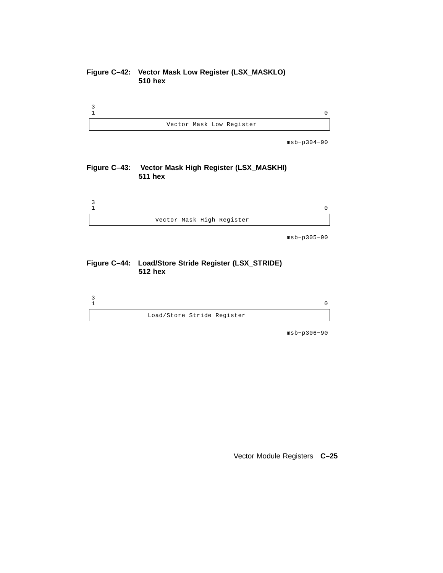#### **Figure C–42: Vector Mask Low Register (LSX\_MASKLO) 510 hex**



msb−p304−90

#### **Figure C–43: Vector Mask High Register (LSX\_MASKHI) 511 hex**



msb−p305−90

#### **Figure C–44: Load/Store Stride Register (LSX\_STRIDE) 512 hex**



msb−p306−90

Vector Module Registers **C–25**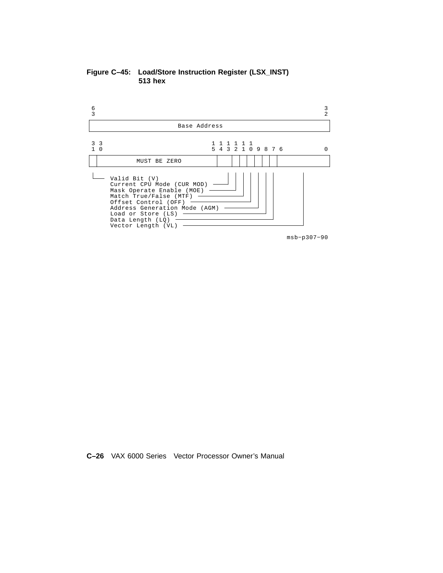**Figure C–45: Load/Store Instruction Register (LSX\_INST) 513 hex**



**C–26** VAX 6000 Series Vector Processor Owner's Manual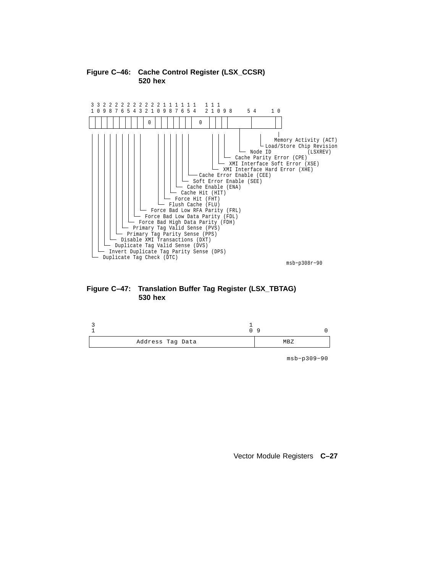

#### **Figure C–46: Cache Control Register (LSX\_CCSR) 520 hex**





msb−p309−90

Vector Module Registers **C–27**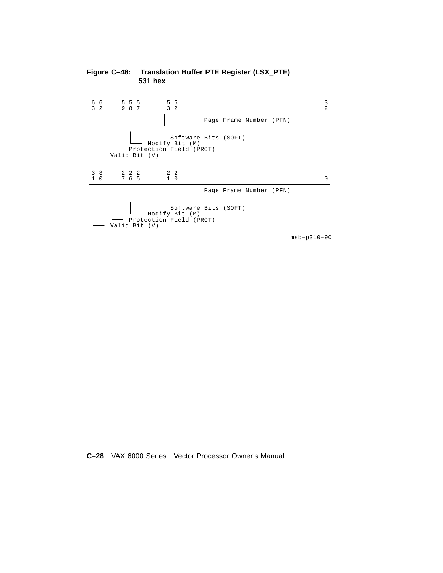

**Figure C–48: Translation Buffer PTE Register (LSX\_PTE) hex**

**C–28** VAX 6000 Series Vector Processor Owner's Manual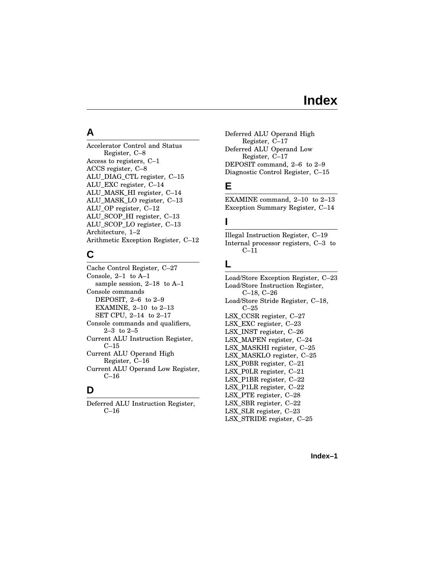## **Index**

#### Accelerator Control and Status Register, C–8 Access to registers, C–1 ACCS register, C–8 ALU\_DIAG\_CTL register, C–15 ALU\_EXC register, C–14 ALU\_MASK\_HI register, C–14 ALU\_MASK\_LO register, C–13 ALU\_OP register, C–12 ALU\_SCOP\_HI register, C–13 ALU\_SCOP\_LO register, C–13 Architecture, 1–2 Arithmetic Exception Register, C–12

#### **C**

**A**

Cache Control Register, C–27 Console, 2–1 to A–1 sample session, 2–18 to A–1 Console commands DEPOSIT, 2-6 to 2-9 EXAMINE, 2–10 to 2–13 SET CPU, 2–14 to 2–17 Console commands and qualifiers, 2–3 to 2–5 Current ALU Instruction Register, C–15 Current ALU Operand High Register, C–16 Current ALU Operand Low Register, C–16

### **D**

Deferred ALU Instruction Register, C–16

Deferred ALU Operand High Register, C–17 Deferred ALU Operand Low Register, C–17 DEPOSIT command, 2–6 to 2–9 Diagnostic Control Register, C–15

## **E**

EXAMINE command, 2–10 to 2–13 Exception Summary Register, C–14

### **I**

Illegal Instruction Register, C–19 Internal processor registers, C–3 to  $C-11$ 

### **L**

Load/Store Exception Register, C–23 Load/Store Instruction Register, C–18, C–26 Load/Store Stride Register, C–18, C–25 LSX\_CCSR register, C–27 LSX\_EXC register, C–23 LSX\_INST register, C–26 LSX\_MAPEN register, C–24 LSX\_MASKHI register, C–25 LSX\_MASKLO register, C–25 LSX\_P0BR register, C–21 LSX\_P0LR register, C–21 LSX\_P1BR register, C–22 LSX\_P1LR register, C–22 LSX\_PTE register, C–28 LSX\_SBR register, C–22 LSX\_SLR register, C–23 LSX\_STRIDE register, C–25

**Index–1**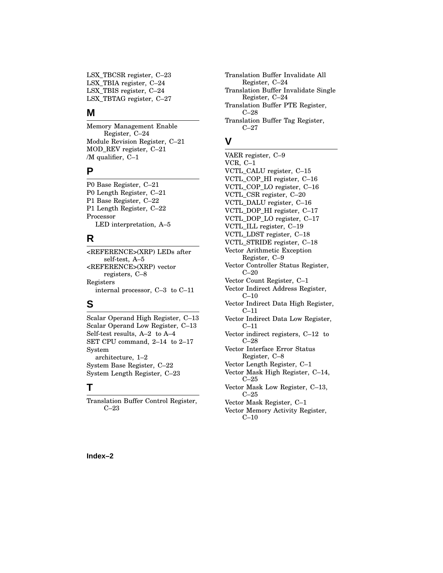LSX\_TBCSR register, C–23 LSX\_TBIA register, C–24 LSX\_TBIS register, C–24 LSX\_TBTAG register, C–27

#### **M**

Memory Management Enable Register, C–24 Module Revision Register, C–21 MOD\_REV register, C–21 /M qualifier, C–1

#### **P**

P0 Base Register, C–21 P0 Length Register, C–21 P1 Base Register, C–22 P1 Length Register, C–22 Processor LED interpretation, A–5

#### **R**

<REFERENCE>(XRP) LEDs after self-test, A–5 <REFERENCE>(XRP) vector registers, C–8 Registers internal processor, C–3 to C–11

## **S**

Scalar Operand High Register, C–13 Scalar Operand Low Register, C–13 Self-test results, A–2 to A–4 SET CPU command, 2–14 to 2–17 System architecture, 1–2 System Base Register, C–22 System Length Register, C–23

## **T**

Translation Buffer Control Register, C–23

Translation Buffer Invalidate All Register, C–24 Translation Buffer Invalidate Single Register, C–24 Translation Buffer PTE Register, C–28 Translation Buffer Tag Register, C–27

#### **V**

VAER register, C–9 VCR, C–1 VCTL\_CALU register, C–15 VCTL\_COP\_HI register, C–16 VCTL\_COP\_LO register, C–16 VCTL\_CSR register, C–20 VCTL\_DALU register, C–16 VCTL\_DOP\_HI register, C–17 VCTL\_DOP\_LO register, C–17 VCTL\_ILL register, C–19 VCTL\_LDST register, C–18 VCTL\_STRIDE register, C–18 Vector Arithmetic Exception Register, C–9 Vector Controller Status Register, C–20 Vector Count Register, C–1 Vector Indirect Address Register, C–10 Vector Indirect Data High Register, C–11 Vector Indirect Data Low Register, C–11 Vector indirect registers, C–12 to C–28 Vector Interface Error Status Register, C–8 Vector Length Register, C–1 Vector Mask High Register, C–14, C–25 Vector Mask Low Register, C–13, C–25 Vector Mask Register, C–1 Vector Memory Activity Register, C–10

**Index–2**